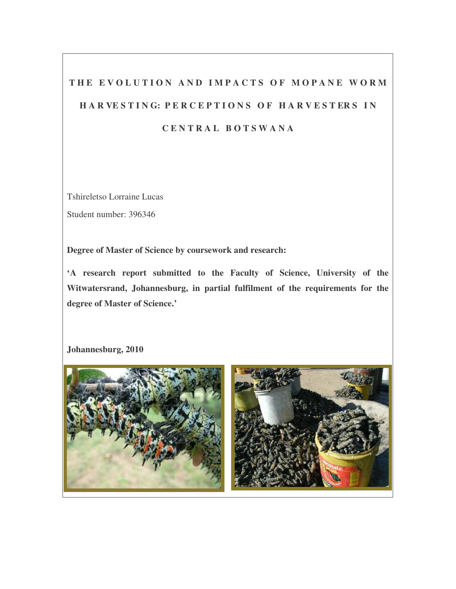# THE EVOLUTION AND IMPACTS OF MOPANE WORM HARVESTING: PERCEPTIONS OF HARVESTERS IN **C E N T R A L B O T S W A N A**

Tshireletso Lorraine Lucas

Student number: 396346

**Degree of Master of Science by coursework and research:**

**'A research report submitted to the Faculty of Science, University of the Witwatersrand, Johannesburg, in partial fulfilment of the requirements for the degree of Master of Science.'**

**Johannesburg, 2010**

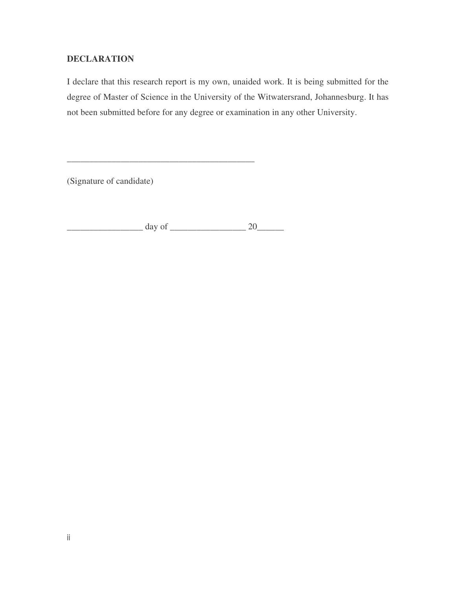# **DECLARATION**

I declare that this research report is my own, unaided work. It is being submitted for the degree of Master of Science in the University of the Witwatersrand, Johannesburg. It has not been submitted before for any degree or examination in any other University.

(Signature of candidate)

 $\frac{day \text{ of } 20$ 

\_\_\_\_\_\_\_\_\_\_\_\_\_\_\_\_\_\_\_\_\_\_\_\_\_\_\_\_\_\_\_\_\_\_\_\_\_\_\_\_\_\_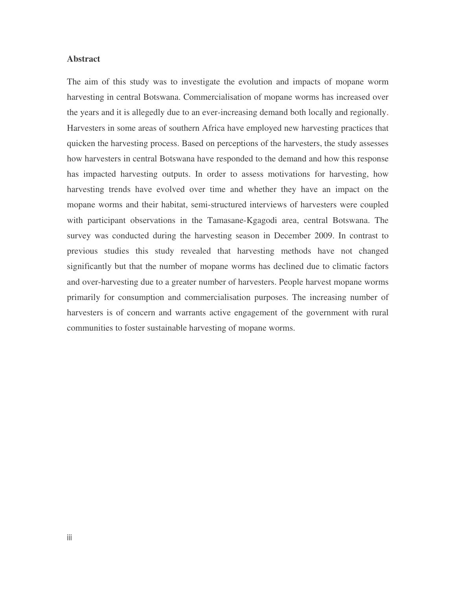# **Abstract**

The aim of this study was to investigate the evolution and impacts of mopane worm harvesting in central Botswana. Commercialisation of mopane worms has increased over the years and it is allegedly due to an ever-increasing demand both locally and regionally. Harvesters in some areas of southern Africa have employed new harvesting practices that quicken the harvesting process. Based on perceptions of the harvesters, the study assesses how harvesters in central Botswana have responded to the demand and how this response has impacted harvesting outputs. In order to assess motivations for harvesting, how harvesting trends have evolved over time and whether they have an impact on the mopane worms and their habitat, semi-structured interviews of harvesters were coupled with participant observations in the Tamasane-Kgagodi area, central Botswana. The survey was conducted during the harvesting season in December 2009. In contrast to previous studies this study revealed that harvesting methods have not changed significantly but that the number of mopane worms has declined due to climatic factors and over-harvesting due to a greater number of harvesters. People harvest mopane worms primarily for consumption and commercialisation purposes. The increasing number of harvesters is of concern and warrants active engagement of the government with rural communities to foster sustainable harvesting of mopane worms.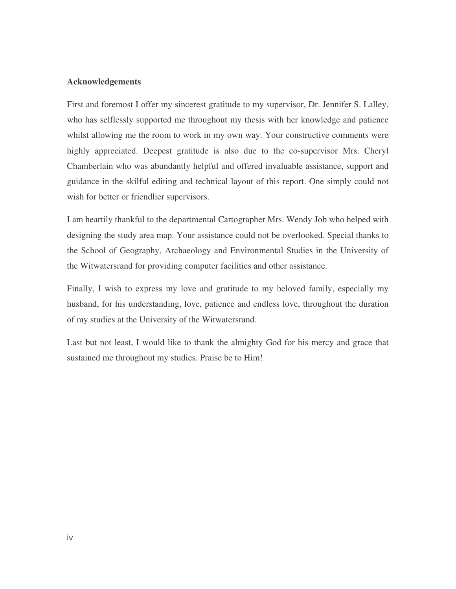# **Acknowledgements**

First and foremost I offer my sincerest gratitude to my supervisor, Dr. Jennifer S. Lalley, who has selflessly supported me throughout my thesis with her knowledge and patience whilst allowing me the room to work in my own way. Your constructive comments were highly appreciated. Deepest gratitude is also due to the co-supervisor Mrs. Cheryl Chamberlain who was abundantly helpful and offered invaluable assistance, support and guidance in the skilful editing and technical layout of this report. One simply could not wish for better or friendlier supervisors.

I am heartily thankful to the departmental Cartographer Mrs. Wendy Job who helped with designing the study area map. Your assistance could not be overlooked. Special thanks to the School of Geography, Archaeology and Environmental Studies in the University of the Witwatersrand for providing computer facilities and other assistance.

Finally, I wish to express my love and gratitude to my beloved family, especially my husband, for his understanding, love, patience and endless love, throughout the duration of my studies at the University of the Witwatersrand.

Last but not least, I would like to thank the almighty God for his mercy and grace that sustained me throughout my studies. Praise be to Him!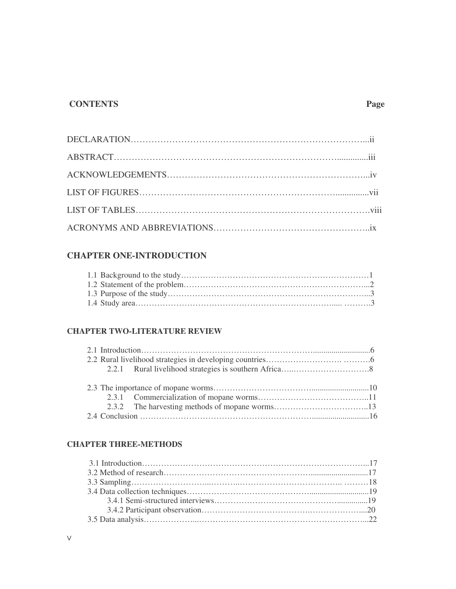# **CONTENTS Page**

# **CHAPTER ONE-INTRODUCTION**

# **CHAPTER TWO-LITERATURE REVIEW**

# **CHAPTER THREE-METHODS**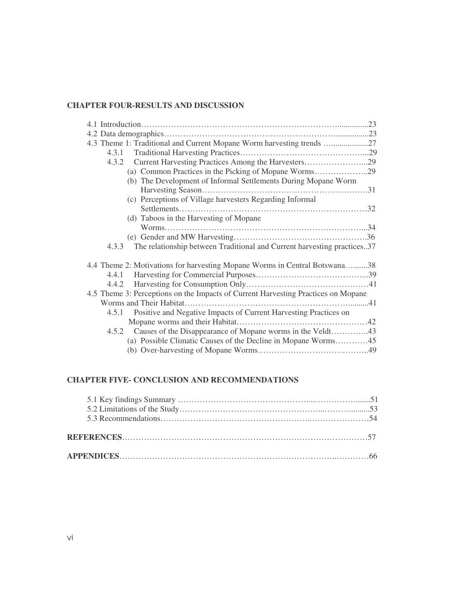# **CHAPTER FOUR-RESULTS AND DISCUSSION**

| 4.3 Theme 1: Traditional and Current Mopane Worm harvesting trends                |  |
|-----------------------------------------------------------------------------------|--|
| 4.3.1                                                                             |  |
| Current Harvesting Practices Among the Harvesters29<br>4.3.2                      |  |
| (a) Common Practices in the Picking of Mopane Worms29                             |  |
| (b) The Development of Informal Settlements During Mopane Worm                    |  |
|                                                                                   |  |
| (c) Perceptions of Village harvesters Regarding Informal                          |  |
|                                                                                   |  |
| (d) Taboos in the Harvesting of Mopane                                            |  |
|                                                                                   |  |
|                                                                                   |  |
| The relationship between Traditional and Current harvesting practices37<br>4.3.3  |  |
|                                                                                   |  |
| 4.4 Theme 2: Motivations for harvesting Mopane Worms in Central Botswana38        |  |
| 4.4.1                                                                             |  |
| 4.4.2                                                                             |  |
| 4.5 Theme 3: Perceptions on the Impacts of Current Harvesting Practices on Mopane |  |
|                                                                                   |  |
| Positive and Negative Impacts of Current Harvesting Practices on<br>4.5.1         |  |
|                                                                                   |  |
| 4.5.2 Causes of the Disappearance of Mopane worms in the Veldt43                  |  |
| (a) Possible Climatic Causes of the Decline in Mopane Worms45                     |  |
|                                                                                   |  |

# **CHAPTER FIVE- CONCLUSION AND RECOMMENDATIONS**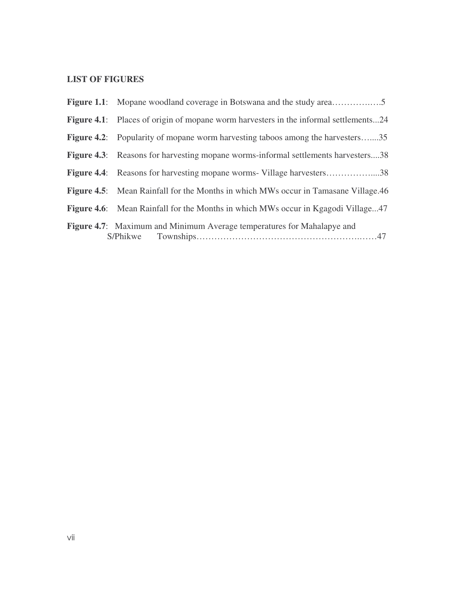# **LIST OF FIGURES**

| <b>Figure 4.1:</b> Places of origin of mopane worm harvesters in the informal settlements24 |
|---------------------------------------------------------------------------------------------|
| <b>Figure 4.2:</b> Popularity of mopane worm harvesting taboos among the harvesters35       |
| <b>Figure 4.3:</b> Reasons for harvesting mopane worms-informal settlements harvesters38    |
| <b>Figure 4.4:</b> Reasons for harvesting mopane worms- Village harvesters38                |
| <b>Figure 4.5:</b> Mean Rainfall for the Months in which MWs occur in Tamasane Village.46   |
| <b>Figure 4.6:</b> Mean Rainfall for the Months in which MWs occur in Kgagodi Village47     |
| Figure 4.7: Maximum and Minimum Average temperatures for Mahalapye and                      |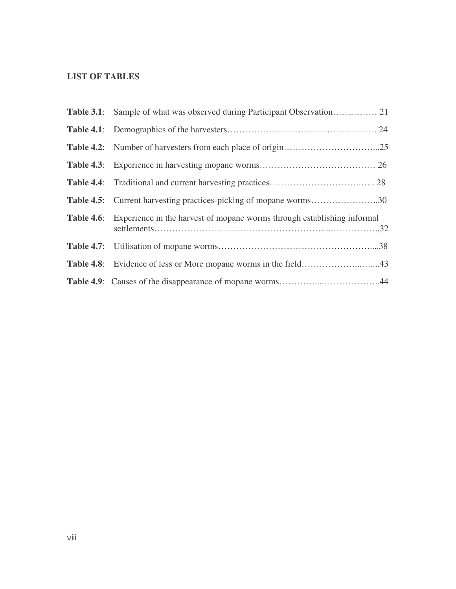# **LIST OF TABLES**

| <b>Table 4.5:</b> Current harvesting practices-picking of mopane worms30                  |  |
|-------------------------------------------------------------------------------------------|--|
| <b>Table 4.6:</b> Experience in the harvest of mopane worms through establishing informal |  |
|                                                                                           |  |
|                                                                                           |  |
| Table 4.9: Causes of the disappearance of mopane worms44                                  |  |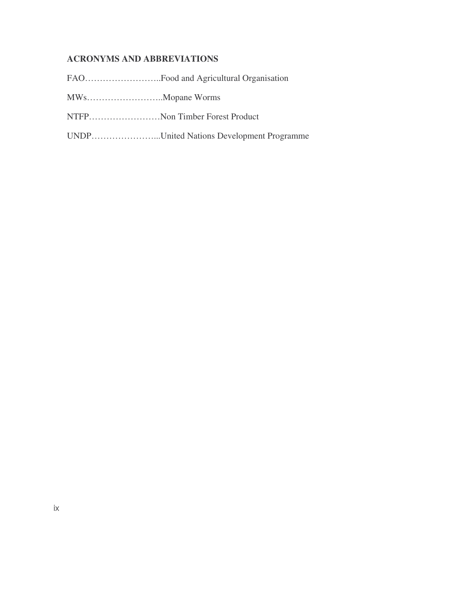# **ACRONYMS AND ABBREVIATIONS**

FAO……………………..Food and Agricultural Organisation

MWs……………………..Mopane Worms

NTFP……………………Non Timber Forest Product

UNDP…………………...United Nations Development Programme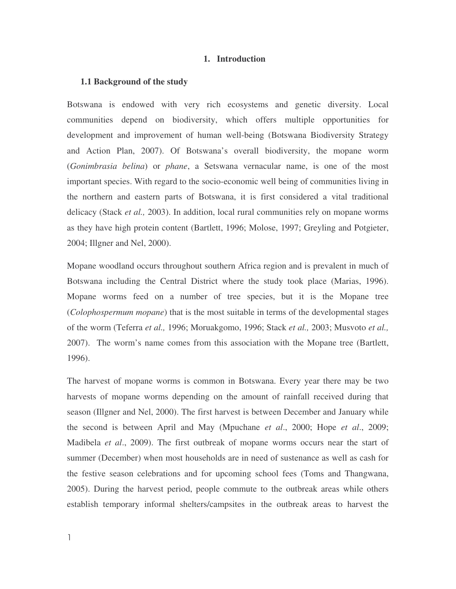#### **1. Introduction**

#### **1.1 Background of the study**

Botswana is endowed with very rich ecosystems and genetic diversity. Local communities depend on biodiversity, which offers multiple opportunities for development and improvement of human well-being (Botswana Biodiversity Strategy and Action Plan, 2007). Of Botswana's overall biodiversity, the mopane worm (*Gonimbrasia belina*) or *phane*, a Setswana vernacular name, is one of the most important species. With regard to the socio-economic well being of communities living in the northern and eastern parts of Botswana, it is first considered a vital traditional delicacy (Stack *et al.,* 2003). In addition, local rural communities rely on mopane worms as they have high protein content (Bartlett, 1996; Molose, 1997; Greyling and Potgieter, 2004; Illgner and Nel, 2000).

Mopane woodland occurs throughout southern Africa region and is prevalent in much of Botswana including the Central District where the study took place (Marias, 1996). Mopane worms feed on a number of tree species, but it is the Mopane tree (*Colophospermum mopane*) that is the most suitable in terms of the developmental stages of the worm (Teferra *et al.,* 1996; Moruakgomo, 1996; Stack *et al.,* 2003; Musvoto *et al.,* 2007). The worm's name comes from this association with the Mopane tree (Bartlett, 1996).

The harvest of mopane worms is common in Botswana. Every year there may be two harvests of mopane worms depending on the amount of rainfall received during that season (Illgner and Nel, 2000). The first harvest is between December and January while the second is between April and May (Mpuchane *et al*., 2000; Hope *et al*., 2009; Madibela *et al*., 2009). The first outbreak of mopane worms occurs near the start of summer (December) when most households are in need of sustenance as well as cash for the festive season celebrations and for upcoming school fees (Toms and Thangwana, 2005). During the harvest period, people commute to the outbreak areas while others establish temporary informal shelters/campsites in the outbreak areas to harvest the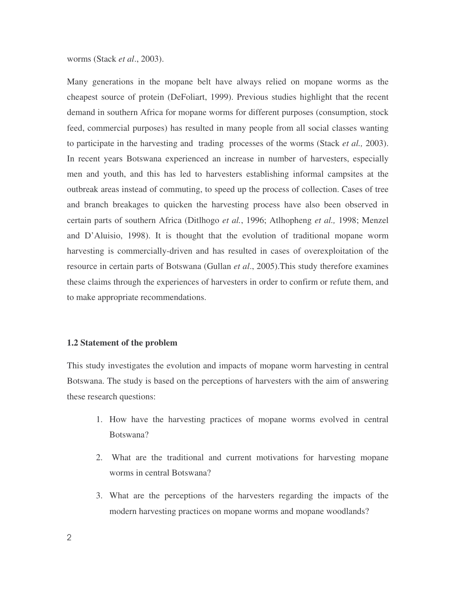worms (Stack *et al*., 2003).

Many generations in the mopane belt have always relied on mopane worms as the cheapest source of protein (DeFoliart, 1999). Previous studies highlight that the recent demand in southern Africa for mopane worms for different purposes (consumption, stock feed, commercial purposes) has resulted in many people from all social classes wanting to participate in the harvesting and trading processes of the worms (Stack *et al.,* 2003). In recent years Botswana experienced an increase in number of harvesters, especially men and youth, and this has led to harvesters establishing informal campsites at the outbreak areas instead of commuting, to speed up the process of collection. Cases of tree and branch breakages to quicken the harvesting process have also been observed in certain parts of southern Africa (Ditlhogo *et al.*, 1996; Atlhopheng *et al.,* 1998; Menzel and D'Aluisio, 1998). It is thought that the evolution of traditional mopane worm harvesting is commercially-driven and has resulted in cases of overexploitation of the resource in certain parts of Botswana (Gullan *et al*., 2005).This study therefore examines these claims through the experiences of harvesters in order to confirm or refute them, and to make appropriate recommendations.

# **1.2 Statement of the problem**

This study investigates the evolution and impacts of mopane worm harvesting in central Botswana. The study is based on the perceptions of harvesters with the aim of answering these research questions:

- 1. How have the harvesting practices of mopane worms evolved in central Botswana?
- 2. What are the traditional and current motivations for harvesting mopane worms in central Botswana?
- 3. What are the perceptions of the harvesters regarding the impacts of the modern harvesting practices on mopane worms and mopane woodlands?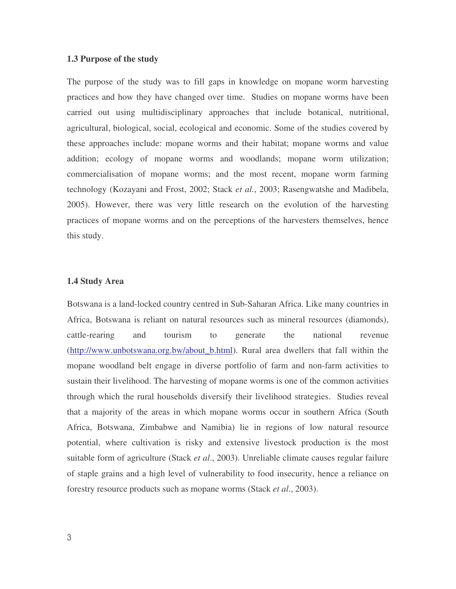#### **1.3 Purpose of the study**

The purpose of the study was to fill gaps in knowledge on mopane worm harvesting practices and how they have changed over time. Studies on mopane worms have been carried out using multidisciplinary approaches that include botanical, nutritional, agricultural, biological, social, ecological and economic. Some of the studies covered by these approaches include: mopane worms and their habitat; mopane worms and value addition; ecology of mopane worms and woodlands; mopane worm utilization; commercialisation of mopane worms; and the most recent, mopane worm farming technology (Kozayani and Frost, 2002; Stack *et al.*, 2003; Rasengwatshe and Madibela, 2005). However, there was very little research on the evolution of the harvesting practices of mopane worms and on the perceptions of the harvesters themselves, hence this study.

# **1.4 Study Area**

Botswana is a land-locked country centred in Sub-Saharan Africa. Like many countries in Africa, Botswana is reliant on natural resources such as mineral resources (diamonds), cattle-rearing and tourism to generate the national revenue (http://www.unbotswana.org.bw/about\_b.html). Rural area dwellers that fall within the mopane woodland belt engage in diverse portfolio of farm and non-farm activities to sustain their livelihood. The harvesting of mopane worms is one of the common activities through which the rural households diversify their livelihood strategies. Studies reveal that a majority of the areas in which mopane worms occur in southern Africa (South Africa, Botswana, Zimbabwe and Namibia) lie in regions of low natural resource potential, where cultivation is risky and extensive livestock production is the most suitable form of agriculture (Stack *et al*., 2003). Unreliable climate causes regular failure of staple grains and a high level of vulnerability to food insecurity, hence a reliance on forestry resource products such as mopane worms (Stack *et al*., 2003).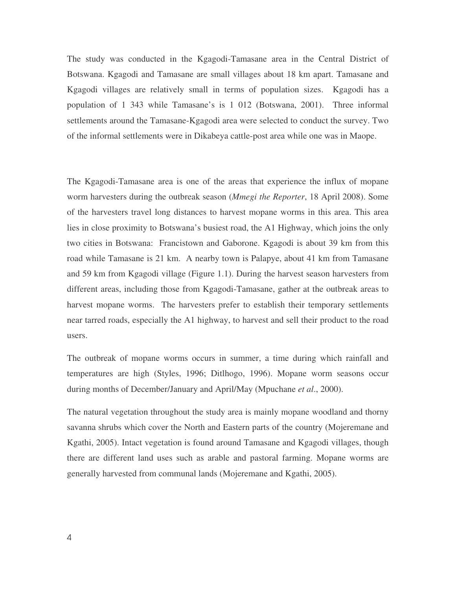The study was conducted in the Kgagodi-Tamasane area in the Central District of Botswana. Kgagodi and Tamasane are small villages about 18 km apart. Tamasane and Kgagodi villages are relatively small in terms of population sizes. Kgagodi has a population of 1 343 while Tamasane's is 1 012 (Botswana, 2001). Three informal settlements around the Tamasane-Kgagodi area were selected to conduct the survey. Two of the informal settlements were in Dikabeya cattle-post area while one was in Maope.

The Kgagodi-Tamasane area is one of the areas that experience the influx of mopane worm harvesters during the outbreak season (*Mmegi the Reporter*, 18 April 2008). Some of the harvesters travel long distances to harvest mopane worms in this area. This area lies in close proximity to Botswana's busiest road, the A1 Highway, which joins the only two cities in Botswana: Francistown and Gaborone. Kgagodi is about 39 km from this road while Tamasane is 21 km. A nearby town is Palapye, about 41 km from Tamasane and 59 km from Kgagodi village (Figure 1.1). During the harvest season harvesters from different areas, including those from Kgagodi-Tamasane, gather at the outbreak areas to harvest mopane worms. The harvesters prefer to establish their temporary settlements near tarred roads, especially the A1 highway, to harvest and sell their product to the road users.

The outbreak of mopane worms occurs in summer, a time during which rainfall and temperatures are high (Styles, 1996; Ditlhogo, 1996). Mopane worm seasons occur during months of December/January and April/May (Mpuchane *et al*., 2000).

The natural vegetation throughout the study area is mainly mopane woodland and thorny savanna shrubs which cover the North and Eastern parts of the country (Mojeremane and Kgathi, 2005). Intact vegetation is found around Tamasane and Kgagodi villages, though there are different land uses such as arable and pastoral farming. Mopane worms are generally harvested from communal lands (Mojeremane and Kgathi, 2005).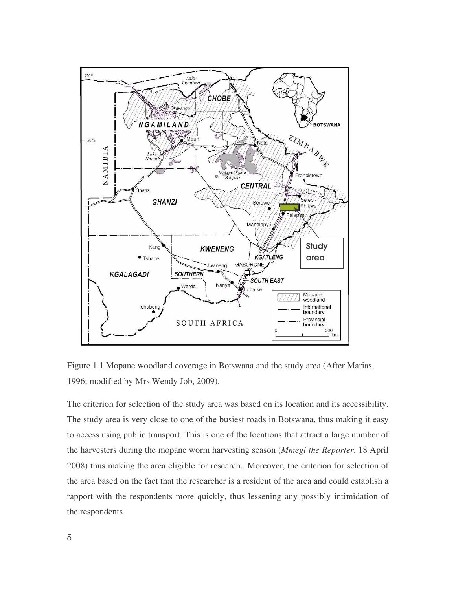

Figure 1.1 Mopane woodland coverage in Botswana and the study area (After Marias, 1996; modified by Mrs Wendy Job, 2009).

The criterion for selection of the study area was based on its location and its accessibility. The study area is very close to one of the busiest roads in Botswana, thus making it easy to access using public transport. This is one of the locations that attract a large number of the harvesters during the mopane worm harvesting season (*Mmegi the Reporter*, 18 April 2008) thus making the area eligible for research.. Moreover, the criterion for selection of the area based on the fact that the researcher is a resident of the area and could establish a rapport with the respondents more quickly, thus lessening any possibly intimidation of the respondents.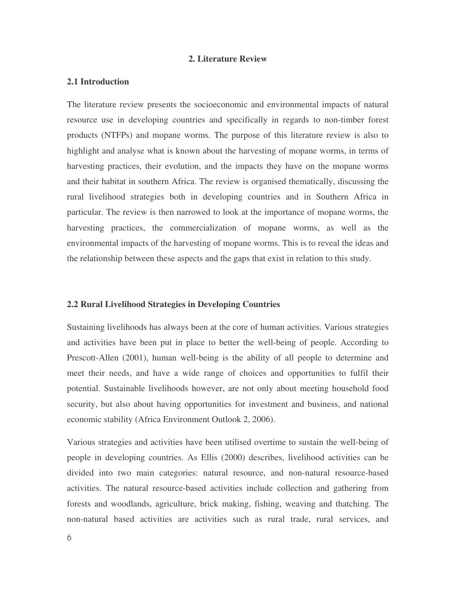#### **2. Literature Review**

## **2.1 Introduction**

The literature review presents the socioeconomic and environmental impacts of natural resource use in developing countries and specifically in regards to non-timber forest products (NTFPs) and mopane worms. The purpose of this literature review is also to highlight and analyse what is known about the harvesting of mopane worms, in terms of harvesting practices, their evolution, and the impacts they have on the mopane worms and their habitat in southern Africa. The review is organised thematically, discussing the rural livelihood strategies both in developing countries and in Southern Africa in particular. The review is then narrowed to look at the importance of mopane worms, the harvesting practices, the commercialization of mopane worms, as well as the environmental impacts of the harvesting of mopane worms. This is to reveal the ideas and the relationship between these aspects and the gaps that exist in relation to this study.

#### **2.2 Rural Livelihood Strategies in Developing Countries**

Sustaining livelihoods has always been at the core of human activities. Various strategies and activities have been put in place to better the well-being of people. According to Prescott-Allen (2001), human well-being is the ability of all people to determine and meet their needs, and have a wide range of choices and opportunities to fulfil their potential. Sustainable livelihoods however, are not only about meeting household food security, but also about having opportunities for investment and business, and national economic stability (Africa Environment Outlook 2, 2006).

Various strategies and activities have been utilised overtime to sustain the well-being of people in developing countries. As Ellis (2000) describes, livelihood activities can be divided into two main categories: natural resource, and non-natural resource-based activities. The natural resource-based activities include collection and gathering from forests and woodlands, agriculture, brick making, fishing, weaving and thatching. The non-natural based activities are activities such as rural trade, rural services, and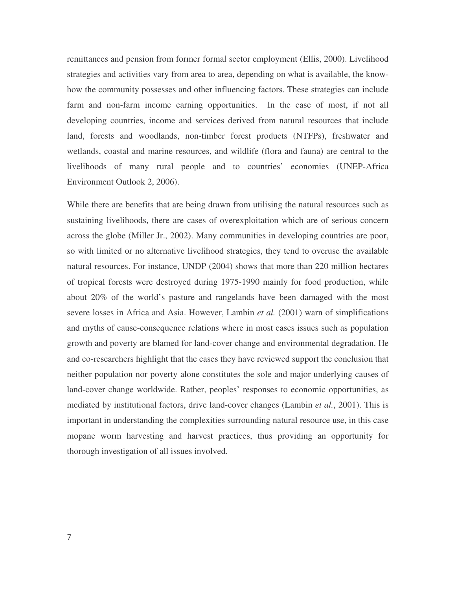remittances and pension from former formal sector employment (Ellis, 2000). Livelihood strategies and activities vary from area to area, depending on what is available, the knowhow the community possesses and other influencing factors. These strategies can include farm and non-farm income earning opportunities. In the case of most, if not all developing countries, income and services derived from natural resources that include land, forests and woodlands, non-timber forest products (NTFPs), freshwater and wetlands, coastal and marine resources, and wildlife (flora and fauna) are central to the livelihoods of many rural people and to countries' economies (UNEP-Africa Environment Outlook 2, 2006).

While there are benefits that are being drawn from utilising the natural resources such as sustaining livelihoods, there are cases of overexploitation which are of serious concern across the globe (Miller Jr., 2002). Many communities in developing countries are poor, so with limited or no alternative livelihood strategies, they tend to overuse the available natural resources. For instance, UNDP (2004) shows that more than 220 million hectares of tropical forests were destroyed during 1975-1990 mainly for food production, while about 20% of the world's pasture and rangelands have been damaged with the most severe losses in Africa and Asia. However, Lambin *et al.* (2001) warn of simplifications and myths of cause-consequence relations where in most cases issues such as population growth and poverty are blamed for land-cover change and environmental degradation. He and co-researchers highlight that the cases they have reviewed support the conclusion that neither population nor poverty alone constitutes the sole and major underlying causes of land-cover change worldwide. Rather, peoples' responses to economic opportunities, as mediated by institutional factors, drive land-cover changes (Lambin *et al.*, 2001). This is important in understanding the complexities surrounding natural resource use, in this case mopane worm harvesting and harvest practices, thus providing an opportunity for thorough investigation of all issues involved.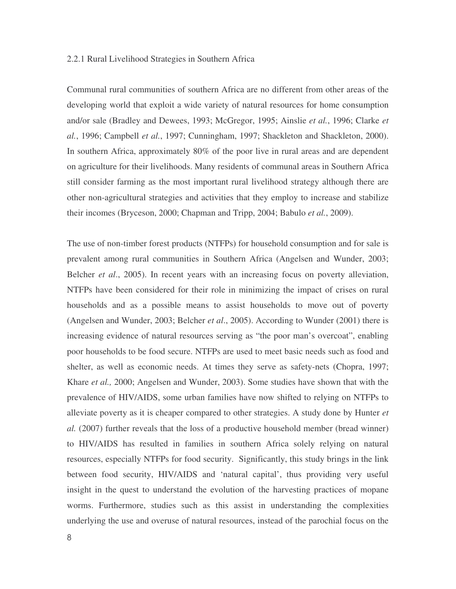## 2.2.1 Rural Livelihood Strategies in Southern Africa

Communal rural communities of southern Africa are no different from other areas of the developing world that exploit a wide variety of natural resources for home consumption and/or sale (Bradley and Dewees, 1993; McGregor, 1995; Ainslie *et al.*, 1996; Clarke *et al.*, 1996; Campbell *et al.*, 1997; Cunningham, 1997; Shackleton and Shackleton, 2000). In southern Africa, approximately 80% of the poor live in rural areas and are dependent on agriculture for their livelihoods. Many residents of communal areas in Southern Africa still consider farming as the most important rural livelihood strategy although there are other non-agricultural strategies and activities that they employ to increase and stabilize their incomes (Bryceson, 2000; Chapman and Tripp, 2004; Babulo *et al.*, 2009).

The use of non-timber forest products (NTFPs) for household consumption and for sale is prevalent among rural communities in Southern Africa (Angelsen and Wunder, 2003; Belcher *et al*., 2005). In recent years with an increasing focus on poverty alleviation, NTFPs have been considered for their role in minimizing the impact of crises on rural households and as a possible means to assist households to move out of poverty (Angelsen and Wunder, 2003; Belcher *et al*., 2005). According to Wunder (2001) there is increasing evidence of natural resources serving as "the poor man's overcoat", enabling poor households to be food secure. NTFPs are used to meet basic needs such as food and shelter, as well as economic needs. At times they serve as safety-nets (Chopra, 1997; Khare *et al.,* 2000; Angelsen and Wunder, 2003). Some studies have shown that with the prevalence of HIV/AIDS, some urban families have now shifted to relying on NTFPs to alleviate poverty as it is cheaper compared to other strategies. A study done by Hunter *et al.* (2007) further reveals that the loss of a productive household member (bread winner) to HIV/AIDS has resulted in families in southern Africa solely relying on natural resources, especially NTFPs for food security. Significantly, this study brings in the link between food security, HIV/AIDS and 'natural capital', thus providing very useful insight in the quest to understand the evolution of the harvesting practices of mopane worms. Furthermore, studies such as this assist in understanding the complexities underlying the use and overuse of natural resources, instead of the parochial focus on the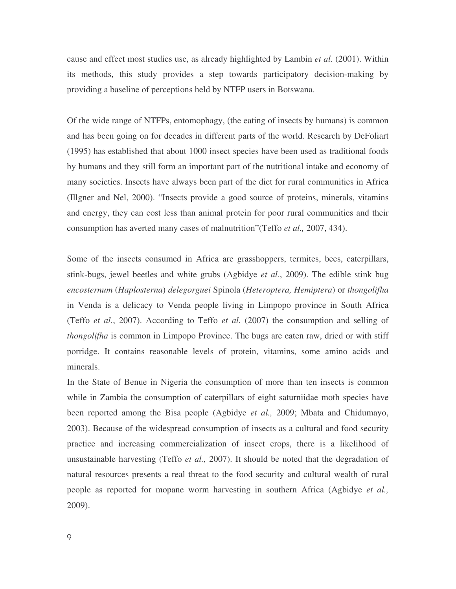cause and effect most studies use, as already highlighted by Lambin *et al.* (2001). Within its methods, this study provides a step towards participatory decision-making by providing a baseline of perceptions held by NTFP users in Botswana.

Of the wide range of NTFPs, entomophagy, (the eating of insects by humans) is common and has been going on for decades in different parts of the world. Research by DeFoliart (1995) has established that about 1000 insect species have been used as traditional foods by humans and they still form an important part of the nutritional intake and economy of many societies. Insects have always been part of the diet for rural communities in Africa (Illgner and Nel, 2000). "Insects provide a good source of proteins, minerals, vitamins and energy, they can cost less than animal protein for poor rural communities and their consumption has averted many cases of malnutrition"(Teffo *et al.,* 2007, 434).

Some of the insects consumed in Africa are grasshoppers, termites, bees, caterpillars, stink-bugs, jewel beetles and white grubs (Agbidye *et al*., 2009). The edible stink bug *encosternum* (*Haplosterna*) *delegorguei* Spinola (*Heteroptera, Hemiptera*) or *thongolifha* in Venda is a delicacy to Venda people living in Limpopo province in South Africa (Teffo *et al.*, 2007). According to Teffo *et al.* (2007) the consumption and selling of *thongolifha* is common in Limpopo Province. The bugs are eaten raw, dried or with stiff porridge. It contains reasonable levels of protein, vitamins, some amino acids and minerals.

In the State of Benue in Nigeria the consumption of more than ten insects is common while in Zambia the consumption of caterpillars of eight saturniidae moth species have been reported among the Bisa people (Agbidye *et al.,* 2009; Mbata and Chidumayo, 2003). Because of the widespread consumption of insects as a cultural and food security practice and increasing commercialization of insect crops, there is a likelihood of unsustainable harvesting (Teffo *et al.,* 2007). It should be noted that the degradation of natural resources presents a real threat to the food security and cultural wealth of rural people as reported for mopane worm harvesting in southern Africa (Agbidye *et al.,* 2009).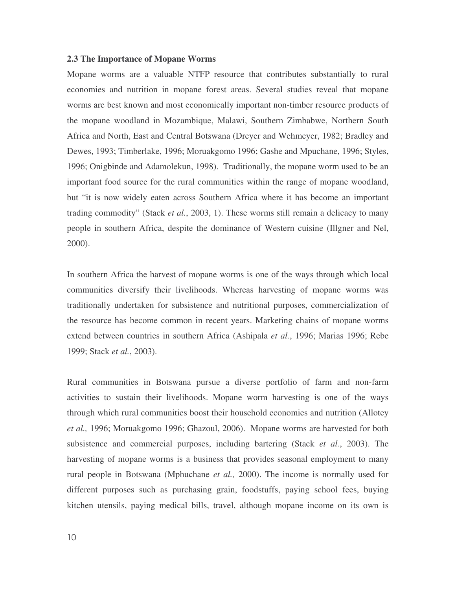#### **2.3 The Importance of Mopane Worms**

Mopane worms are a valuable NTFP resource that contributes substantially to rural economies and nutrition in mopane forest areas. Several studies reveal that mopane worms are best known and most economically important non-timber resource products of the mopane woodland in Mozambique, Malawi, Southern Zimbabwe, Northern South Africa and North, East and Central Botswana (Dreyer and Wehmeyer, 1982; Bradley and Dewes, 1993; Timberlake, 1996; Moruakgomo 1996; Gashe and Mpuchane, 1996; Styles, 1996; Onigbinde and Adamolekun, 1998). Traditionally, the mopane worm used to be an important food source for the rural communities within the range of mopane woodland, but "it is now widely eaten across Southern Africa where it has become an important trading commodity" (Stack *et al.*, 2003, 1). These worms still remain a delicacy to many people in southern Africa, despite the dominance of Western cuisine (Illgner and Nel, 2000).

In southern Africa the harvest of mopane worms is one of the ways through which local communities diversify their livelihoods. Whereas harvesting of mopane worms was traditionally undertaken for subsistence and nutritional purposes, commercialization of the resource has become common in recent years. Marketing chains of mopane worms extend between countries in southern Africa (Ashipala *et al.*, 1996; Marias 1996; Rebe 1999; Stack *et al.*, 2003).

Rural communities in Botswana pursue a diverse portfolio of farm and non-farm activities to sustain their livelihoods. Mopane worm harvesting is one of the ways through which rural communities boost their household economies and nutrition (Allotey *et al.,* 1996; Moruakgomo 1996; Ghazoul, 2006). Mopane worms are harvested for both subsistence and commercial purposes, including bartering (Stack *et al.*, 2003). The harvesting of mopane worms is a business that provides seasonal employment to many rural people in Botswana (Mphuchane *et al.,* 2000). The income is normally used for different purposes such as purchasing grain, foodstuffs, paying school fees, buying kitchen utensils, paying medical bills, travel, although mopane income on its own is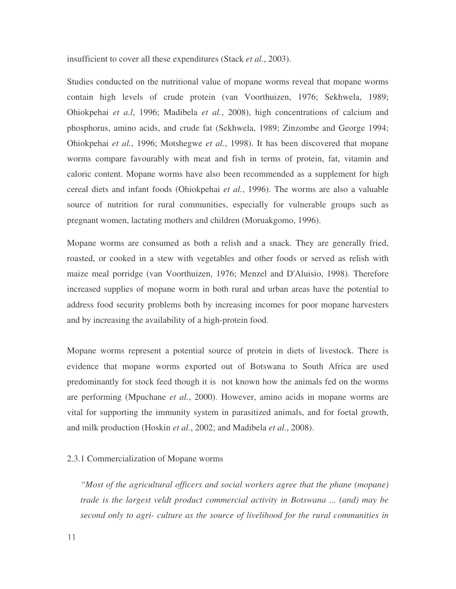insufficient to cover all these expenditures (Stack *et al.*, 2003).

Studies conducted on the nutritional value of mopane worms reveal that mopane worms contain high levels of crude protein (van Voorthuizen, 1976; Sekhwela, 1989; Ohiokpehai *et a.l*, 1996; Madibela *et al.*, 2008), high concentrations of calcium and phosphorus, amino acids, and crude fat (Sekhwela, 1989; Zinzombe and George 1994; Ohiokpehai *et al.*, 1996; Motshegwe *et al.*, 1998). It has been discovered that mopane worms compare favourably with meat and fish in terms of protein, fat, vitamin and caloric content. Mopane worms have also been recommended as a supplement for high cereal diets and infant foods (Ohiokpehai *et al.*, 1996). The worms are also a valuable source of nutrition for rural communities, especially for vulnerable groups such as pregnant women, lactating mothers and children (Moruakgomo, 1996).

Mopane worms are consumed as both a relish and a snack. They are generally fried, roasted, or cooked in a stew with vegetables and other foods or served as relish with maize meal porridge (van Voorthuizen, 1976; Menzel and D'Aluisio, 1998). Therefore increased supplies of mopane worm in both rural and urban areas have the potential to address food security problems both by increasing incomes for poor mopane harvesters and by increasing the availability of a high-protein food.

Mopane worms represent a potential source of protein in diets of livestock. There is evidence that mopane worms exported out of Botswana to South Africa are used predominantly for stock feed though it is not known how the animals fed on the worms are performing (Mpuchane *et al.*, 2000). However, amino acids in mopane worms are vital for supporting the immunity system in parasitized animals, and for foetal growth, and milk production (Hoskin *et al.*, 2002; and Madibela *et al.*, 2008).

# 2.3.1 Commercialization of Mopane worms

*"Most of the agricultural officers and social workers agree that the phane (mopane) trade is the largest veldt product commercial activity in Botswana ... (and) may be second only to agri- culture as the source of livelihood for the rural communities in*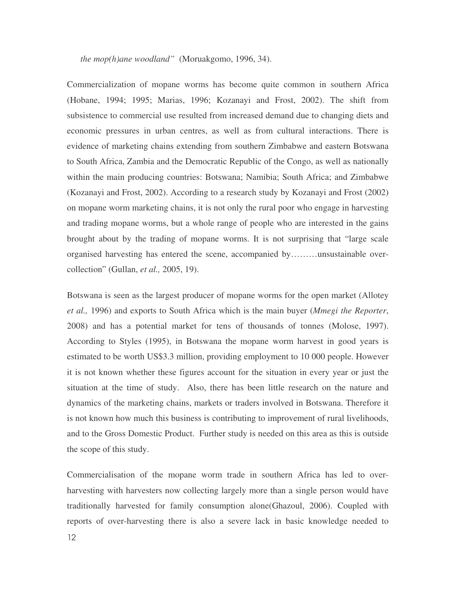*the mop(h)ane woodland"* (Moruakgomo, 1996, 34).

Commercialization of mopane worms has become quite common in southern Africa (Hobane, 1994; 1995; Marias, 1996; Kozanayi and Frost, 2002). The shift from subsistence to commercial use resulted from increased demand due to changing diets and economic pressures in urban centres, as well as from cultural interactions. There is evidence of marketing chains extending from southern Zimbabwe and eastern Botswana to South Africa, Zambia and the Democratic Republic of the Congo, as well as nationally within the main producing countries: Botswana; Namibia; South Africa; and Zimbabwe (Kozanayi and Frost, 2002). According to a research study by Kozanayi and Frost (2002) on mopane worm marketing chains, it is not only the rural poor who engage in harvesting and trading mopane worms, but a whole range of people who are interested in the gains brought about by the trading of mopane worms. It is not surprising that "large scale organised harvesting has entered the scene, accompanied by………unsustainable overcollection" (Gullan, *et al.,* 2005, 19).

Botswana is seen as the largest producer of mopane worms for the open market (Allotey *et al.,* 1996) and exports to South Africa which is the main buyer (*Mmegi the Reporter*, 2008) and has a potential market for tens of thousands of tonnes (Molose, 1997). According to Styles (1995), in Botswana the mopane worm harvest in good years is estimated to be worth US\$3.3 million, providing employment to 10 000 people. However it is not known whether these figures account for the situation in every year or just the situation at the time of study. Also, there has been little research on the nature and dynamics of the marketing chains, markets or traders involved in Botswana. Therefore it is not known how much this business is contributing to improvement of rural livelihoods, and to the Gross Domestic Product. Further study is needed on this area as this is outside the scope of this study.

Commercialisation of the mopane worm trade in southern Africa has led to overharvesting with harvesters now collecting largely more than a single person would have traditionally harvested for family consumption alone(Ghazoul, 2006). Coupled with reports of over-harvesting there is also a severe lack in basic knowledge needed to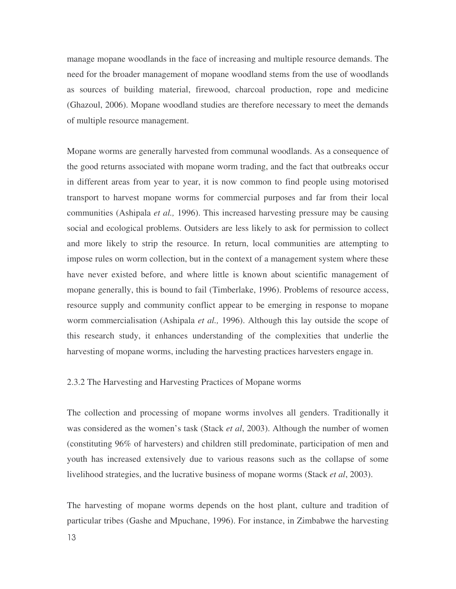manage mopane woodlands in the face of increasing and multiple resource demands. The need for the broader management of mopane woodland stems from the use of woodlands as sources of building material, firewood, charcoal production, rope and medicine (Ghazoul, 2006). Mopane woodland studies are therefore necessary to meet the demands of multiple resource management.

Mopane worms are generally harvested from communal woodlands. As a consequence of the good returns associated with mopane worm trading, and the fact that outbreaks occur in different areas from year to year, it is now common to find people using motorised transport to harvest mopane worms for commercial purposes and far from their local communities (Ashipala *et al.,* 1996). This increased harvesting pressure may be causing social and ecological problems. Outsiders are less likely to ask for permission to collect and more likely to strip the resource. In return, local communities are attempting to impose rules on worm collection, but in the context of a management system where these have never existed before, and where little is known about scientific management of mopane generally, this is bound to fail (Timberlake, 1996). Problems of resource access, resource supply and community conflict appear to be emerging in response to mopane worm commercialisation (Ashipala *et al.,* 1996). Although this lay outside the scope of this research study, it enhances understanding of the complexities that underlie the harvesting of mopane worms, including the harvesting practices harvesters engage in.

# 2.3.2 The Harvesting and Harvesting Practices of Mopane worms

The collection and processing of mopane worms involves all genders. Traditionally it was considered as the women's task (Stack *et al*, 2003). Although the number of women (constituting 96% of harvesters) and children still predominate, participation of men and youth has increased extensively due to various reasons such as the collapse of some livelihood strategies, and the lucrative business of mopane worms (Stack *et al*, 2003).

The harvesting of mopane worms depends on the host plant, culture and tradition of particular tribes (Gashe and Mpuchane, 1996). For instance, in Zimbabwe the harvesting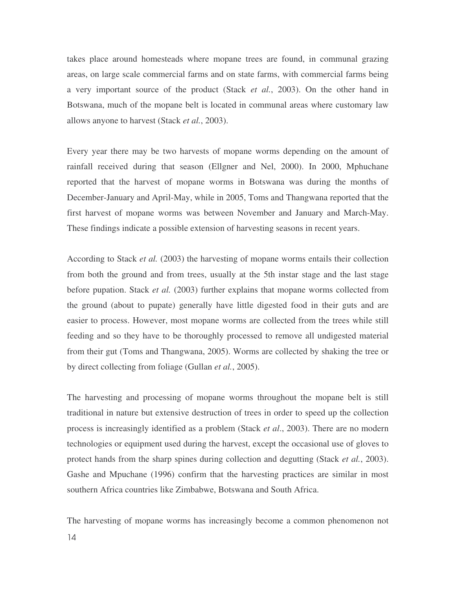takes place around homesteads where mopane trees are found, in communal grazing areas, on large scale commercial farms and on state farms, with commercial farms being a very important source of the product (Stack *et al.*, 2003). On the other hand in Botswana, much of the mopane belt is located in communal areas where customary law allows anyone to harvest (Stack *et al.*, 2003).

Every year there may be two harvests of mopane worms depending on the amount of rainfall received during that season (Ellgner and Nel, 2000). In 2000, Mphuchane reported that the harvest of mopane worms in Botswana was during the months of December-January and April-May, while in 2005, Toms and Thangwana reported that the first harvest of mopane worms was between November and January and March-May. These findings indicate a possible extension of harvesting seasons in recent years.

According to Stack *et al.* (2003) the harvesting of mopane worms entails their collection from both the ground and from trees, usually at the 5th instar stage and the last stage before pupation. Stack *et al.* (2003) further explains that mopane worms collected from the ground (about to pupate) generally have little digested food in their guts and are easier to process. However, most mopane worms are collected from the trees while still feeding and so they have to be thoroughly processed to remove all undigested material from their gut (Toms and Thangwana, 2005). Worms are collected by shaking the tree or by direct collecting from foliage (Gullan *et al.*, 2005).

The harvesting and processing of mopane worms throughout the mopane belt is still traditional in nature but extensive destruction of trees in order to speed up the collection process is increasingly identified as a problem (Stack *et al*., 2003). There are no modern technologies or equipment used during the harvest, except the occasional use of gloves to protect hands from the sharp spines during collection and degutting (Stack *et al.*, 2003). Gashe and Mpuchane (1996) confirm that the harvesting practices are similar in most southern Africa countries like Zimbabwe, Botswana and South Africa.

The harvesting of mopane worms has increasingly become a common phenomenon not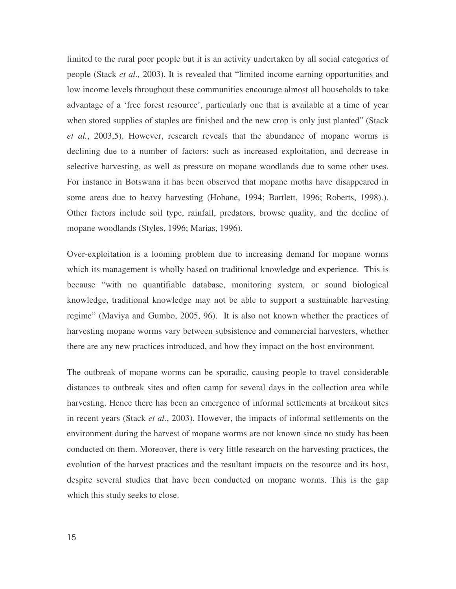limited to the rural poor people but it is an activity undertaken by all social categories of people (Stack *et al.,* 2003). It is revealed that "limited income earning opportunities and low income levels throughout these communities encourage almost all households to take advantage of a 'free forest resource', particularly one that is available at a time of year when stored supplies of staples are finished and the new crop is only just planted" (Stack *et al.*, 2003,5). However, research reveals that the abundance of mopane worms is declining due to a number of factors: such as increased exploitation, and decrease in selective harvesting, as well as pressure on mopane woodlands due to some other uses. For instance in Botswana it has been observed that mopane moths have disappeared in some areas due to heavy harvesting (Hobane, 1994; Bartlett, 1996; Roberts, 1998).). Other factors include soil type, rainfall, predators, browse quality, and the decline of mopane woodlands (Styles, 1996; Marias, 1996).

Over-exploitation is a looming problem due to increasing demand for mopane worms which its management is wholly based on traditional knowledge and experience. This is because "with no quantifiable database, monitoring system, or sound biological knowledge, traditional knowledge may not be able to support a sustainable harvesting regime" (Maviya and Gumbo, 2005, 96). It is also not known whether the practices of harvesting mopane worms vary between subsistence and commercial harvesters, whether there are any new practices introduced, and how they impact on the host environment.

The outbreak of mopane worms can be sporadic, causing people to travel considerable distances to outbreak sites and often camp for several days in the collection area while harvesting. Hence there has been an emergence of informal settlements at breakout sites in recent years (Stack *et al.*, 2003). However, the impacts of informal settlements on the environment during the harvest of mopane worms are not known since no study has been conducted on them. Moreover, there is very little research on the harvesting practices, the evolution of the harvest practices and the resultant impacts on the resource and its host, despite several studies that have been conducted on mopane worms. This is the gap which this study seeks to close.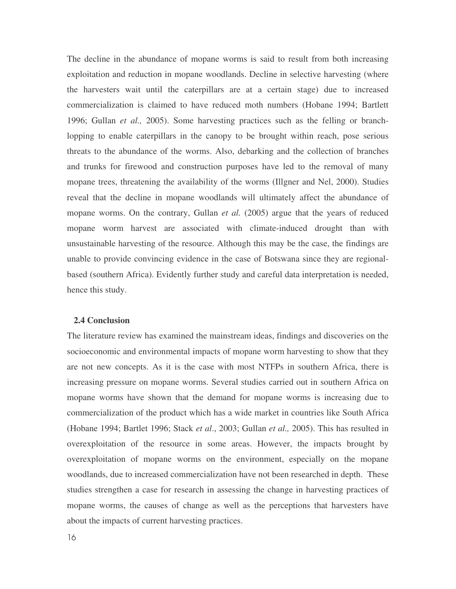The decline in the abundance of mopane worms is said to result from both increasing exploitation and reduction in mopane woodlands. Decline in selective harvesting (where the harvesters wait until the caterpillars are at a certain stage) due to increased commercialization is claimed to have reduced moth numbers (Hobane 1994; Bartlett 1996; Gullan *et al.,* 2005). Some harvesting practices such as the felling or branchlopping to enable caterpillars in the canopy to be brought within reach, pose serious threats to the abundance of the worms. Also, debarking and the collection of branches and trunks for firewood and construction purposes have led to the removal of many mopane trees, threatening the availability of the worms (Illgner and Nel, 2000). Studies reveal that the decline in mopane woodlands will ultimately affect the abundance of mopane worms. On the contrary, Gullan *et al.* (2005) argue that the years of reduced mopane worm harvest are associated with climate-induced drought than with unsustainable harvesting of the resource. Although this may be the case, the findings are unable to provide convincing evidence in the case of Botswana since they are regionalbased (southern Africa). Evidently further study and careful data interpretation is needed, hence this study.

## **2.4 Conclusion**

The literature review has examined the mainstream ideas, findings and discoveries on the socioeconomic and environmental impacts of mopane worm harvesting to show that they are not new concepts. As it is the case with most NTFPs in southern Africa, there is increasing pressure on mopane worms. Several studies carried out in southern Africa on mopane worms have shown that the demand for mopane worms is increasing due to commercialization of the product which has a wide market in countries like South Africa (Hobane 1994; Bartlet 1996; Stack *et al*., 2003; Gullan *et al.,* 2005). This has resulted in overexploitation of the resource in some areas. However, the impacts brought by overexploitation of mopane worms on the environment, especially on the mopane woodlands, due to increased commercialization have not been researched in depth. These studies strengthen a case for research in assessing the change in harvesting practices of mopane worms, the causes of change as well as the perceptions that harvesters have about the impacts of current harvesting practices.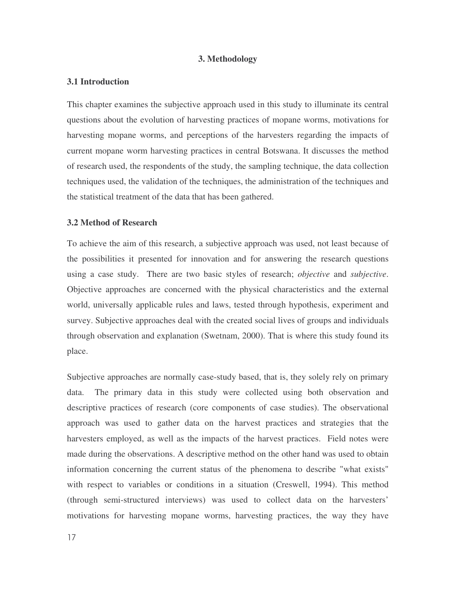# **3. Methodology**

## **3.1 Introduction**

This chapter examines the subjective approach used in this study to illuminate its central questions about the evolution of harvesting practices of mopane worms, motivations for harvesting mopane worms, and perceptions of the harvesters regarding the impacts of current mopane worm harvesting practices in central Botswana. It discusses the method of research used, the respondents of the study, the sampling technique, the data collection techniques used, the validation of the techniques, the administration of the techniques and the statistical treatment of the data that has been gathered.

# **3.2 Method of Research**

To achieve the aim of this research, a subjective approach was used, not least because of the possibilities it presented for innovation and for answering the research questions using a case study. There are two basic styles of research; *objective* and *subjective*. Objective approaches are concerned with the physical characteristics and the external world, universally applicable rules and laws, tested through hypothesis, experiment and survey. Subjective approaches deal with the created social lives of groups and individuals through observation and explanation (Swetnam, 2000). That is where this study found its place.

Subjective approaches are normally case-study based, that is, they solely rely on primary data. The primary data in this study were collected using both observation and descriptive practices of research (core components of case studies). The observational approach was used to gather data on the harvest practices and strategies that the harvesters employed, as well as the impacts of the harvest practices. Field notes were made during the observations. A descriptive method on the other hand was used to obtain information concerning the current status of the phenomena to describe "what exists" with respect to variables or conditions in a situation (Creswell, 1994). This method (through semi-structured interviews) was used to collect data on the harvesters' motivations for harvesting mopane worms, harvesting practices, the way they have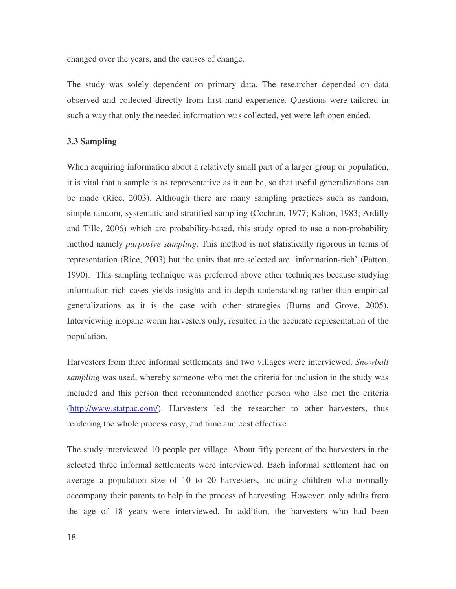changed over the years, and the causes of change.

The study was solely dependent on primary data. The researcher depended on data observed and collected directly from first hand experience. Questions were tailored in such a way that only the needed information was collected, yet were left open ended.

#### **3.3 Sampling**

When acquiring information about a relatively small part of a larger group or population, it is vital that a sample is as representative as it can be, so that useful generalizations can be made (Rice, 2003). Although there are many sampling practices such as random, simple random, systematic and stratified sampling (Cochran, 1977; Kalton, 1983; Ardilly and Tille, 2006) which are probability-based, this study opted to use a non-probability method namely *purposive sampling*. This method is not statistically rigorous in terms of representation (Rice, 2003) but the units that are selected are 'information-rich' (Patton, 1990). This sampling technique was preferred above other techniques because studying information-rich cases yields insights and in-depth understanding rather than empirical generalizations as it is the case with other strategies (Burns and Grove, 2005). Interviewing mopane worm harvesters only, resulted in the accurate representation of the population.

Harvesters from three informal settlements and two villages were interviewed. *Snowball sampling* was used, whereby someone who met the criteria for inclusion in the study was included and this person then recommended another person who also met the criteria (http://www.statpac.com/). Harvesters led the researcher to other harvesters, thus rendering the whole process easy, and time and cost effective.

The study interviewed 10 people per village. About fifty percent of the harvesters in the selected three informal settlements were interviewed. Each informal settlement had on average a population size of 10 to 20 harvesters, including children who normally accompany their parents to help in the process of harvesting. However, only adults from the age of 18 years were interviewed. In addition, the harvesters who had been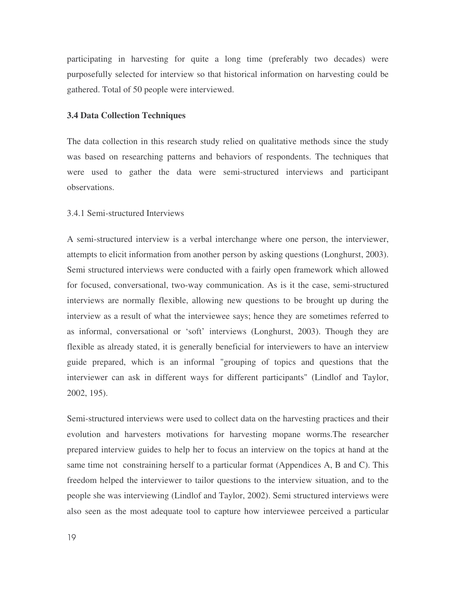participating in harvesting for quite a long time (preferably two decades) were purposefully selected for interview so that historical information on harvesting could be gathered. Total of 50 people were interviewed.

# **3.4 Data Collection Techniques**

The data collection in this research study relied on qualitative methods since the study was based on researching patterns and behaviors of respondents. The techniques that were used to gather the data were semi-structured interviews and participant observations.

## 3.4.1 Semi-structured Interviews

A semi-structured interview is a verbal interchange where one person, the interviewer, attempts to elicit information from another person by asking questions (Longhurst, 2003). Semi structured interviews were conducted with a fairly open framework which allowed for focused, conversational, two-way communication. As is it the case, semi-structured interviews are normally flexible, allowing new questions to be brought up during the interview as a result of what the interviewee says; hence they are sometimes referred to as informal, conversational or 'soft' interviews (Longhurst, 2003). Though they are flexible as already stated, it is generally beneficial for interviewers to have an interview guide prepared, which is an informal "grouping of topics and questions that the interviewer can ask in different ways for different participants" (Lindlof and Taylor, 2002, 195).

Semi-structured interviews were used to collect data on the harvesting practices and their evolution and harvesters motivations for harvesting mopane worms.The researcher prepared interview guides to help her to focus an interview on the topics at hand at the same time not constraining herself to a particular format (Appendices A, B and C). This freedom helped the interviewer to tailor questions to the interview situation, and to the people she was interviewing (Lindlof and Taylor, 2002). Semi structured interviews were also seen as the most adequate tool to capture how interviewee perceived a particular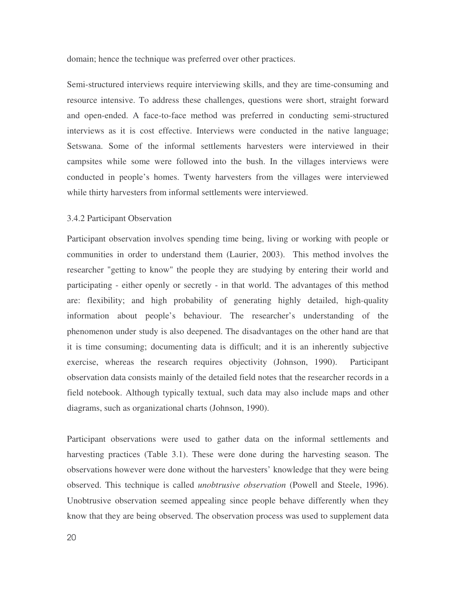domain; hence the technique was preferred over other practices.

Semi-structured interviews require interviewing skills, and they are time-consuming and resource intensive. To address these challenges, questions were short, straight forward and open-ended. A face-to-face method was preferred in conducting semi-structured interviews as it is cost effective. Interviews were conducted in the native language; Setswana. Some of the informal settlements harvesters were interviewed in their campsites while some were followed into the bush. In the villages interviews were conducted in people's homes. Twenty harvesters from the villages were interviewed while thirty harvesters from informal settlements were interviewed.

## 3.4.2 Participant Observation

Participant observation involves spending time being, living or working with people or communities in order to understand them (Laurier, 2003). This method involves the researcher "getting to know" the people they are studying by entering their world and participating - either openly or secretly - in that world. The advantages of this method are: flexibility; and high probability of generating highly detailed, high-quality information about people's behaviour. The researcher's understanding of the phenomenon under study is also deepened. The disadvantages on the other hand are that it is time consuming; documenting data is difficult; and it is an inherently subjective exercise, whereas the research requires objectivity (Johnson, 1990). Participant observation data consists mainly of the detailed field notes that the researcher records in a field notebook. Although typically textual, such data may also include maps and other diagrams, such as organizational charts (Johnson, 1990).

Participant observations were used to gather data on the informal settlements and harvesting practices (Table 3.1). These were done during the harvesting season. The observations however were done without the harvesters' knowledge that they were being observed. This technique is called *unobtrusive observation* (Powell and Steele, 1996). Unobtrusive observation seemed appealing since people behave differently when they know that they are being observed. The observation process was used to supplement data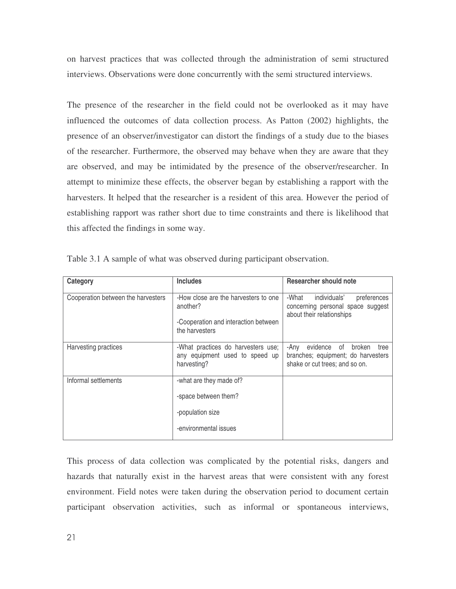on harvest practices that was collected through the administration of semi structured interviews. Observations were done concurrently with the semi structured interviews.

The presence of the researcher in the field could not be overlooked as it may have influenced the outcomes of data collection process. As Patton (2002) highlights, the presence of an observer/investigator can distort the findings of a study due to the biases of the researcher. Furthermore, the observed may behave when they are aware that they are observed, and may be intimidated by the presence of the observer/researcher. In attempt to minimize these effects, the observer began by establishing a rapport with the harvesters. It helped that the researcher is a resident of this area. However the period of establishing rapport was rather short due to time constraints and there is likelihood that this affected the findings in some way.

| Category                           | <b>Includes</b>                                                                                            | <b>Researcher should note</b>                                                                                    |
|------------------------------------|------------------------------------------------------------------------------------------------------------|------------------------------------------------------------------------------------------------------------------|
| Cooperation between the harvesters | -How close are the harvesters to one<br>another?<br>-Cooperation and interaction between<br>the harvesters | -What<br>individuals'<br>preferences<br>concerning personal space suggest<br>about their relationships           |
| Harvesting practices               | -What practices do harvesters use;<br>any equipment used to speed up<br>harvesting?                        | of<br>-Any<br>evidence<br>broken<br>tree<br>branches; equipment; do harvesters<br>shake or cut trees; and so on. |
| Informal settlements               | -what are they made of?<br>-space between them?<br>-population size<br>-environmental issues               |                                                                                                                  |

Table 3.1 A sample of what was observed during participant observation.

This process of data collection was complicated by the potential risks, dangers and hazards that naturally exist in the harvest areas that were consistent with any forest environment. Field notes were taken during the observation period to document certain participant observation activities, such as informal or spontaneous interviews,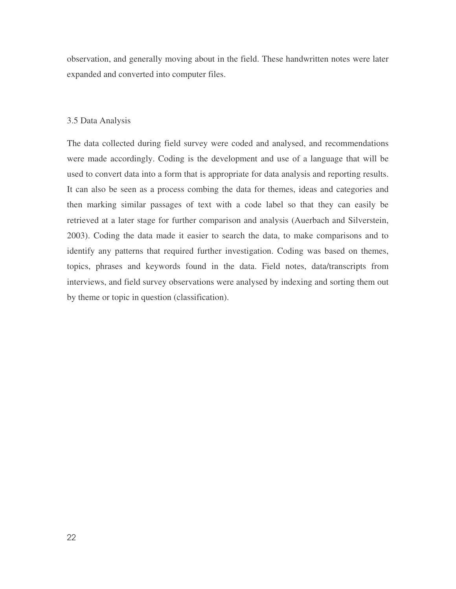observation, and generally moving about in the field. These handwritten notes were later expanded and converted into computer files.

# 3.5 Data Analysis

The data collected during field survey were coded and analysed, and recommendations were made accordingly. Coding is the development and use of a language that will be used to convert data into a form that is appropriate for data analysis and reporting results. It can also be seen as a process combing the data for themes, ideas and categories and then marking similar passages of text with a code label so that they can easily be retrieved at a later stage for further comparison and analysis (Auerbach and Silverstein, 2003). Coding the data made it easier to search the data, to make comparisons and to identify any patterns that required further investigation. Coding was based on themes, topics, phrases and keywords found in the data. Field notes, data/transcripts from interviews, and field survey observations were analysed by indexing and sorting them out by theme or topic in question (classification).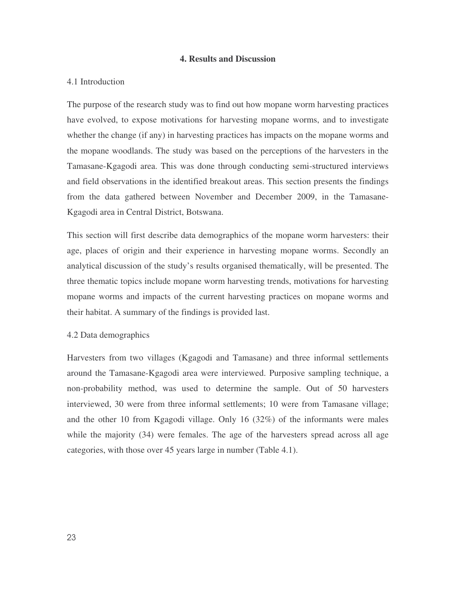#### **4. Results and Discussion**

#### 4.1 Introduction

The purpose of the research study was to find out how mopane worm harvesting practices have evolved, to expose motivations for harvesting mopane worms, and to investigate whether the change (if any) in harvesting practices has impacts on the mopane worms and the mopane woodlands. The study was based on the perceptions of the harvesters in the Tamasane-Kgagodi area. This was done through conducting semi-structured interviews and field observations in the identified breakout areas. This section presents the findings from the data gathered between November and December 2009, in the Tamasane-Kgagodi area in Central District, Botswana.

This section will first describe data demographics of the mopane worm harvesters: their age, places of origin and their experience in harvesting mopane worms. Secondly an analytical discussion of the study's results organised thematically, will be presented. The three thematic topics include mopane worm harvesting trends, motivations for harvesting mopane worms and impacts of the current harvesting practices on mopane worms and their habitat. A summary of the findings is provided last.

# 4.2 Data demographics

Harvesters from two villages (Kgagodi and Tamasane) and three informal settlements around the Tamasane-Kgagodi area were interviewed. Purposive sampling technique, a non-probability method, was used to determine the sample. Out of 50 harvesters interviewed, 30 were from three informal settlements; 10 were from Tamasane village; and the other 10 from Kgagodi village. Only 16 (32%) of the informants were males while the majority (34) were females. The age of the harvesters spread across all age categories, with those over 45 years large in number (Table 4.1).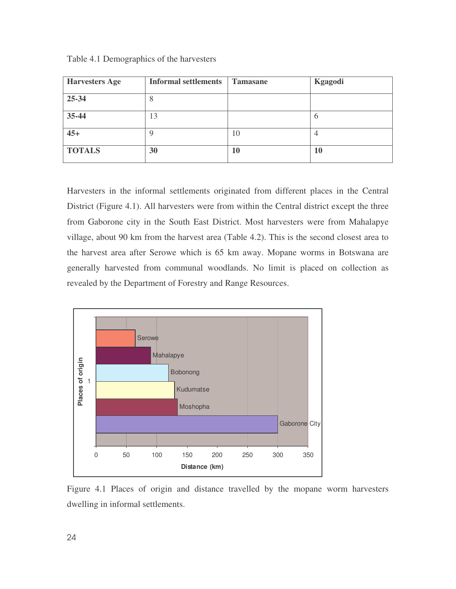| <b>Harvesters Age</b> | <b>Informal settlements</b> | <b>Tamasane</b> | Kgagodi   |
|-----------------------|-----------------------------|-----------------|-----------|
| 25-34                 | $\circ$                     |                 |           |
| 35-44                 | 13                          |                 | 6         |
| $45+$                 | 9                           | 10              | 4         |
| <b>TOTALS</b>         | 30                          | 10              | <b>10</b> |

Table 4.1 Demographics of the harvesters

Harvesters in the informal settlements originated from different places in the Central District (Figure 4.1). All harvesters were from within the Central district except the three from Gaborone city in the South East District. Most harvesters were from Mahalapye village, about 90 km from the harvest area (Table 4.2). This is the second closest area to the harvest area after Serowe which is 65 km away. Mopane worms in Botswana are generally harvested from communal woodlands. No limit is placed on collection as revealed by the Department of Forestry and Range Resources.



Figure 4.1 Places of origin and distance travelled by the mopane worm harvesters dwelling in informal settlements.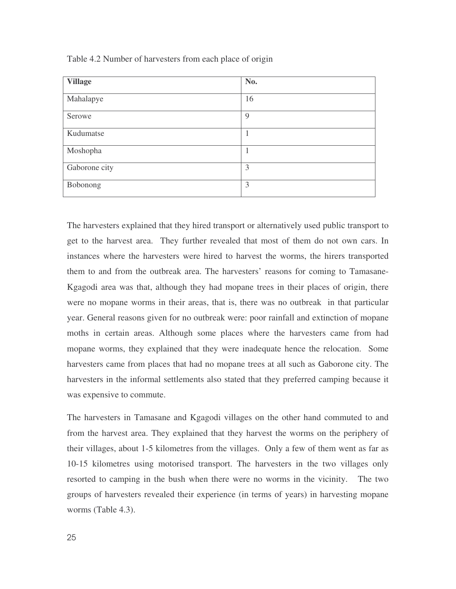| <b>Village</b> | No. |
|----------------|-----|
| Mahalapye      | 16  |
| Serowe         | 9   |
| Kudumatse      | 1   |
| Moshopha       | 1   |
| Gaborone city  | 3   |
| Bobonong       | 3   |

Table 4.2 Number of harvesters from each place of origin

The harvesters explained that they hired transport or alternatively used public transport to get to the harvest area. They further revealed that most of them do not own cars. In instances where the harvesters were hired to harvest the worms, the hirers transported them to and from the outbreak area. The harvesters' reasons for coming to Tamasane-Kgagodi area was that, although they had mopane trees in their places of origin, there were no mopane worms in their areas, that is, there was no outbreak in that particular year. General reasons given for no outbreak were: poor rainfall and extinction of mopane moths in certain areas. Although some places where the harvesters came from had mopane worms, they explained that they were inadequate hence the relocation. Some harvesters came from places that had no mopane trees at all such as Gaborone city. The harvesters in the informal settlements also stated that they preferred camping because it was expensive to commute.

The harvesters in Tamasane and Kgagodi villages on the other hand commuted to and from the harvest area. They explained that they harvest the worms on the periphery of their villages, about 1-5 kilometres from the villages. Only a few of them went as far as 10-15 kilometres using motorised transport. The harvesters in the two villages only resorted to camping in the bush when there were no worms in the vicinity. The two groups of harvesters revealed their experience (in terms of years) in harvesting mopane worms (Table 4.3).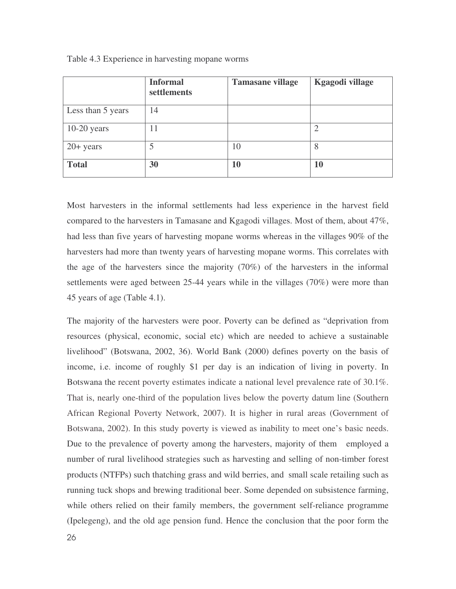|                   | <b>Informal</b><br>settlements | <b>Tamasane village</b> | <b>Kgagodi village</b> |
|-------------------|--------------------------------|-------------------------|------------------------|
| Less than 5 years | 14                             |                         |                        |
| $10-20$ years     | 11                             |                         |                        |
| $20+$ years       |                                | 10                      | 8                      |
| <b>Total</b>      | 30                             | 10                      | <b>10</b>              |

Table 4.3 Experience in harvesting mopane worms

Most harvesters in the informal settlements had less experience in the harvest field compared to the harvesters in Tamasane and Kgagodi villages. Most of them, about 47%, had less than five years of harvesting mopane worms whereas in the villages 90% of the harvesters had more than twenty years of harvesting mopane worms. This correlates with the age of the harvesters since the majority (70%) of the harvesters in the informal settlements were aged between 25-44 years while in the villages (70%) were more than 45 years of age (Table 4.1).

The majority of the harvesters were poor. Poverty can be defined as "deprivation from resources (physical, economic, social etc) which are needed to achieve a sustainable livelihood" (Botswana, 2002, 36). World Bank (2000) defines poverty on the basis of income, i.e. income of roughly \$1 per day is an indication of living in poverty. In Botswana the recent poverty estimates indicate a national level prevalence rate of 30.1%. That is, nearly one-third of the population lives below the poverty datum line (Southern African Regional Poverty Network, 2007). It is higher in rural areas (Government of Botswana, 2002). In this study poverty is viewed as inability to meet one's basic needs. Due to the prevalence of poverty among the harvesters, majority of them employed a number of rural livelihood strategies such as harvesting and selling of non-timber forest products (NTFPs) such thatching grass and wild berries, and small scale retailing such as running tuck shops and brewing traditional beer. Some depended on subsistence farming, while others relied on their family members, the government self-reliance programme (Ipelegeng), and the old age pension fund. Hence the conclusion that the poor form the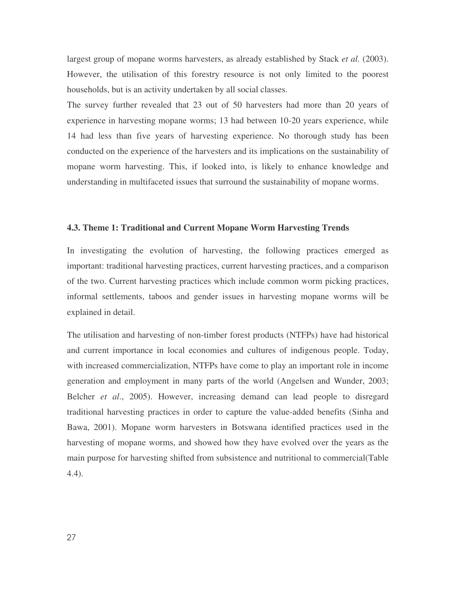largest group of mopane worms harvesters, as already established by Stack *et al.* (2003). However, the utilisation of this forestry resource is not only limited to the poorest households, but is an activity undertaken by all social classes.

The survey further revealed that 23 out of 50 harvesters had more than 20 years of experience in harvesting mopane worms; 13 had between 10-20 years experience, while 14 had less than five years of harvesting experience. No thorough study has been conducted on the experience of the harvesters and its implications on the sustainability of mopane worm harvesting. This, if looked into, is likely to enhance knowledge and understanding in multifaceted issues that surround the sustainability of mopane worms.

#### **4.3. Theme 1: Traditional and Current Mopane Worm Harvesting Trends**

In investigating the evolution of harvesting, the following practices emerged as important: traditional harvesting practices, current harvesting practices, and a comparison of the two. Current harvesting practices which include common worm picking practices, informal settlements, taboos and gender issues in harvesting mopane worms will be explained in detail.

The utilisation and harvesting of non-timber forest products (NTFPs) have had historical and current importance in local economies and cultures of indigenous people. Today, with increased commercialization, NTFPs have come to play an important role in income generation and employment in many parts of the world (Angelsen and Wunder, 2003; Belcher *et al*., 2005). However, increasing demand can lead people to disregard traditional harvesting practices in order to capture the value-added benefits (Sinha and Bawa, 2001). Mopane worm harvesters in Botswana identified practices used in the harvesting of mopane worms, and showed how they have evolved over the years as the main purpose for harvesting shifted from subsistence and nutritional to commercial(Table 4.4).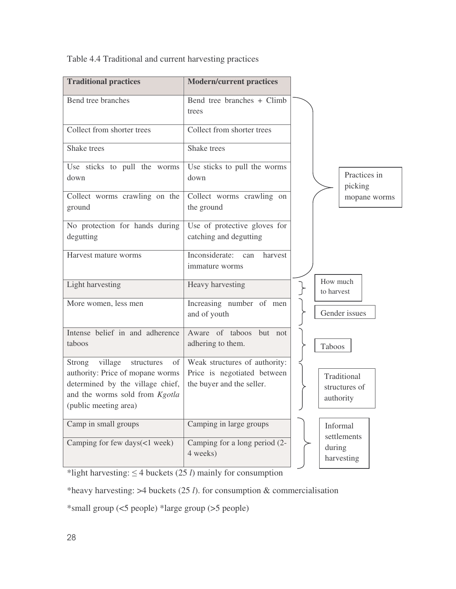| <b>Traditional practices</b>                                                                                                                                             | <b>Modern/current practices</b>                                                           |                                           |
|--------------------------------------------------------------------------------------------------------------------------------------------------------------------------|-------------------------------------------------------------------------------------------|-------------------------------------------|
| Bend tree branches                                                                                                                                                       | Bend tree branches + Climb<br>trees                                                       |                                           |
| Collect from shorter trees                                                                                                                                               | Collect from shorter trees                                                                |                                           |
| Shake trees                                                                                                                                                              | Shake trees                                                                               |                                           |
| Use sticks to pull the worms<br>down                                                                                                                                     | Use sticks to pull the worms<br>down                                                      | Practices in<br>picking                   |
| Collect worms crawling on the<br>ground                                                                                                                                  | Collect worms crawling on<br>the ground                                                   | mopane worms                              |
| No protection for hands during<br>degutting                                                                                                                              | Use of protective gloves for<br>catching and degutting                                    |                                           |
| Harvest mature worms                                                                                                                                                     | Inconsiderate:<br>harvest<br>can<br>immature worms                                        |                                           |
| Light harvesting                                                                                                                                                         | Heavy harvesting                                                                          | How much<br>to harvest                    |
| More women, less men                                                                                                                                                     | Increasing number of men<br>and of youth                                                  | Gender issues                             |
| Intense belief in and adherence<br>taboos                                                                                                                                | Aware of taboos but not<br>adhering to them.                                              | Taboos                                    |
| village<br>Strong<br>structures<br>of<br>authority: Price of mopane worms<br>determined by the village chief,<br>and the worms sold from Kgotla<br>(public meeting area) | Weak structures of authority:<br>Price is negotiated between<br>the buyer and the seller. | Traditional<br>structures of<br>authority |
| Camp in small groups                                                                                                                                                     | Camping in large groups                                                                   | Informal<br>settlements                   |
| Camping for few days(<1 week)                                                                                                                                            | Camping for a long period (2-<br>4 weeks)                                                 | during<br>harvesting                      |

Table 4.4 Traditional and current harvesting practices

\*light harvesting:  $\leq$  4 buckets (25 *l*) mainly for consumption

\*heavy harvesting: >4 buckets (25 *l*). for consumption & commercialisation

\*small group (<5 people) \*large group (>5 people)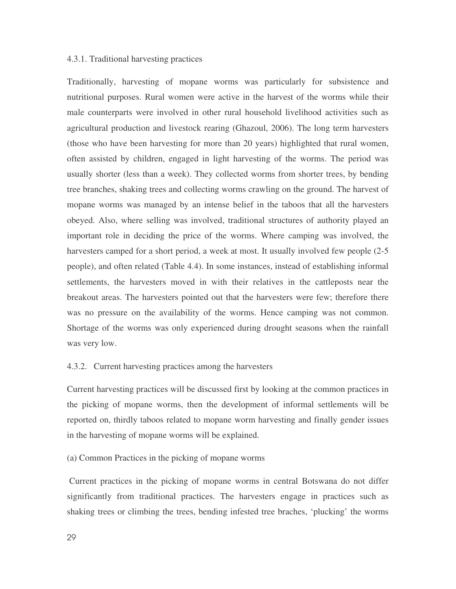### 4.3.1. Traditional harvesting practices

Traditionally, harvesting of mopane worms was particularly for subsistence and nutritional purposes. Rural women were active in the harvest of the worms while their male counterparts were involved in other rural household livelihood activities such as agricultural production and livestock rearing (Ghazoul, 2006). The long term harvesters (those who have been harvesting for more than 20 years) highlighted that rural women, often assisted by children, engaged in light harvesting of the worms. The period was usually shorter (less than a week). They collected worms from shorter trees, by bending tree branches, shaking trees and collecting worms crawling on the ground. The harvest of mopane worms was managed by an intense belief in the taboos that all the harvesters obeyed. Also, where selling was involved, traditional structures of authority played an important role in deciding the price of the worms. Where camping was involved, the harvesters camped for a short period, a week at most. It usually involved few people (2-5 people), and often related (Table 4.4). In some instances, instead of establishing informal settlements, the harvesters moved in with their relatives in the cattleposts near the breakout areas. The harvesters pointed out that the harvesters were few; therefore there was no pressure on the availability of the worms. Hence camping was not common. Shortage of the worms was only experienced during drought seasons when the rainfall was very low.

# 4.3.2. Current harvesting practices among the harvesters

Current harvesting practices will be discussed first by looking at the common practices in the picking of mopane worms, then the development of informal settlements will be reported on, thirdly taboos related to mopane worm harvesting and finally gender issues in the harvesting of mopane worms will be explained.

(a) Common Practices in the picking of mopane worms

Current practices in the picking of mopane worms in central Botswana do not differ significantly from traditional practices. The harvesters engage in practices such as shaking trees or climbing the trees, bending infested tree braches, 'plucking' the worms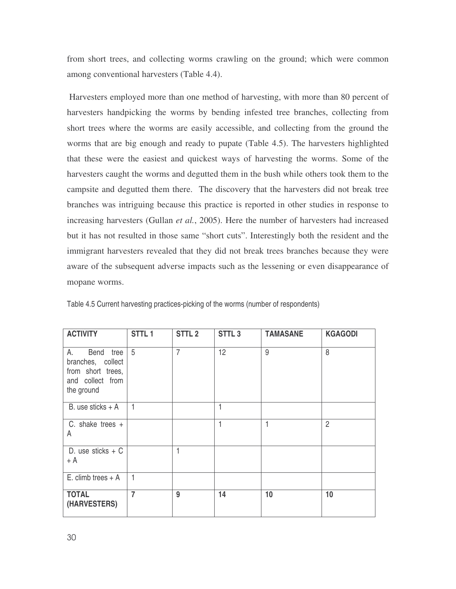from short trees, and collecting worms crawling on the ground; which were common among conventional harvesters (Table 4.4).

Harvesters employed more than one method of harvesting, with more than 80 percent of harvesters handpicking the worms by bending infested tree branches, collecting from short trees where the worms are easily accessible, and collecting from the ground the worms that are big enough and ready to pupate (Table 4.5). The harvesters highlighted that these were the easiest and quickest ways of harvesting the worms. Some of the harvesters caught the worms and degutted them in the bush while others took them to the campsite and degutted them there. The discovery that the harvesters did not break tree branches was intriguing because this practice is reported in other studies in response to increasing harvesters (Gullan *et al.*, 2005). Here the number of harvesters had increased but it has not resulted in those same "short cuts". Interestingly both the resident and the immigrant harvesters revealed that they did not break trees branches because they were aware of the subsequent adverse impacts such as the lessening or even disappearance of mopane worms.

| <b>ACTIVITY</b>                                                                             | STTL <sub>1</sub> | STTL <sub>2</sub> | STTL <sub>3</sub> | <b>TAMASANE</b> | <b>KGAGODI</b> |
|---------------------------------------------------------------------------------------------|-------------------|-------------------|-------------------|-----------------|----------------|
| А.<br>Bend tree<br>branches, collect<br>from short trees,<br>and collect from<br>the ground | 5                 | $\overline{7}$    | 12                | 9               | 8              |
| B. use sticks $+$ A                                                                         | $\overline{1}$    |                   | 1                 |                 |                |
| C. shake trees $+$<br>A                                                                     |                   |                   | 1                 | 1               | $\overline{2}$ |
| D. use sticks $+ C$<br>+ A                                                                  |                   | 1                 |                   |                 |                |
| E. climb trees $+$ A                                                                        | $\overline{1}$    |                   |                   |                 |                |
| <b>TOTAL</b><br>(HARVESTERS)                                                                | $\overline{7}$    | 9                 | 14                | 10              | 10             |

Table 4.5 Current harvesting practices-picking of the worms (number of respondents)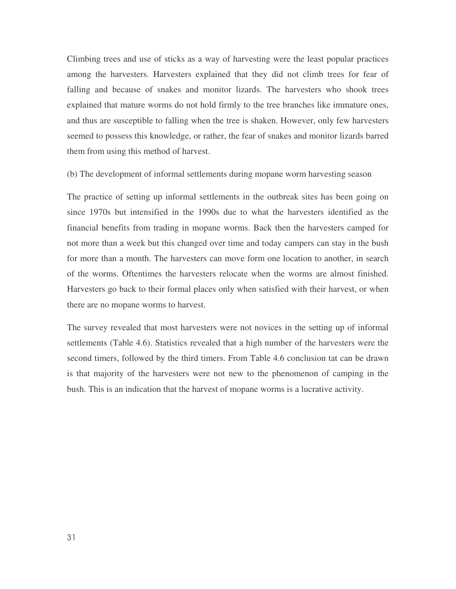Climbing trees and use of sticks as a way of harvesting were the least popular practices among the harvesters. Harvesters explained that they did not climb trees for fear of falling and because of snakes and monitor lizards. The harvesters who shook trees explained that mature worms do not hold firmly to the tree branches like immature ones, and thus are susceptible to falling when the tree is shaken. However, only few harvesters seemed to possess this knowledge, or rather, the fear of snakes and monitor lizards barred them from using this method of harvest.

(b) The development of informal settlements during mopane worm harvesting season

The practice of setting up informal settlements in the outbreak sites has been going on since 1970s but intensified in the 1990s due to what the harvesters identified as the financial benefits from trading in mopane worms. Back then the harvesters camped for not more than a week but this changed over time and today campers can stay in the bush for more than a month. The harvesters can move form one location to another, in search of the worms. Oftentimes the harvesters relocate when the worms are almost finished. Harvesters go back to their formal places only when satisfied with their harvest, or when there are no mopane worms to harvest.

The survey revealed that most harvesters were not novices in the setting up of informal settlements (Table 4.6). Statistics revealed that a high number of the harvesters were the second timers, followed by the third timers. From Table 4.6 conclusion tat can be drawn is that majority of the harvesters were not new to the phenomenon of camping in the bush. This is an indication that the harvest of mopane worms is a lucrative activity.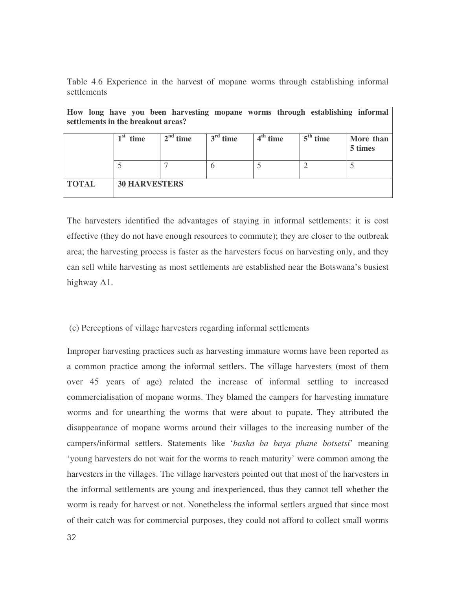|             |  |  |  |  | Table 4.6 Experience in the harvest of mopane worms through establishing informal |  |
|-------------|--|--|--|--|-----------------------------------------------------------------------------------|--|
| settlements |  |  |  |  |                                                                                   |  |

| How long have you been harvesting mopane worms through establishing informal<br>settlements in the breakout areas? |                         |            |            |            |            |                      |
|--------------------------------------------------------------------------------------------------------------------|-------------------------|------------|------------|------------|------------|----------------------|
|                                                                                                                    | 1 <sup>st</sup><br>time | $2nd$ time | $3rd$ time | $4th$ time | $5th$ time | More than<br>5 times |
|                                                                                                                    |                         |            |            |            |            |                      |
| <b>TOTAL</b>                                                                                                       | <b>30 HARVESTERS</b>    |            |            |            |            |                      |

The harvesters identified the advantages of staying in informal settlements: it is cost effective (they do not have enough resources to commute); they are closer to the outbreak area; the harvesting process is faster as the harvesters focus on harvesting only, and they can sell while harvesting as most settlements are established near the Botswana's busiest highway A1.

# (c) Perceptions of village harvesters regarding informal settlements

Improper harvesting practices such as harvesting immature worms have been reported as a common practice among the informal settlers. The village harvesters (most of them over 45 years of age) related the increase of informal settling to increased commercialisation of mopane worms. They blamed the campers for harvesting immature worms and for unearthing the worms that were about to pupate. They attributed the disappearance of mopane worms around their villages to the increasing number of the campers/informal settlers. Statements like '*basha ba baya phane botsetsi*' meaning 'young harvesters do not wait for the worms to reach maturity' were common among the harvesters in the villages. The village harvesters pointed out that most of the harvesters in the informal settlements are young and inexperienced, thus they cannot tell whether the worm is ready for harvest or not. Nonetheless the informal settlers argued that since most of their catch was for commercial purposes, they could not afford to collect small worms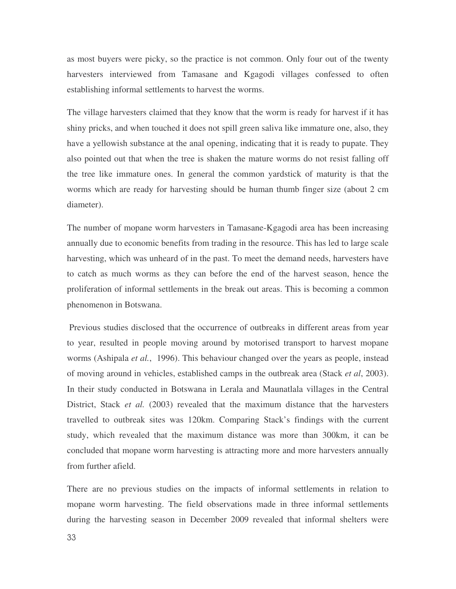as most buyers were picky, so the practice is not common. Only four out of the twenty harvesters interviewed from Tamasane and Kgagodi villages confessed to often establishing informal settlements to harvest the worms.

The village harvesters claimed that they know that the worm is ready for harvest if it has shiny pricks, and when touched it does not spill green saliva like immature one, also, they have a yellowish substance at the anal opening, indicating that it is ready to pupate. They also pointed out that when the tree is shaken the mature worms do not resist falling off the tree like immature ones. In general the common yardstick of maturity is that the worms which are ready for harvesting should be human thumb finger size (about 2 cm diameter).

The number of mopane worm harvesters in Tamasane-Kgagodi area has been increasing annually due to economic benefits from trading in the resource. This has led to large scale harvesting, which was unheard of in the past. To meet the demand needs, harvesters have to catch as much worms as they can before the end of the harvest season, hence the proliferation of informal settlements in the break out areas. This is becoming a common phenomenon in Botswana.

Previous studies disclosed that the occurrence of outbreaks in different areas from year to year, resulted in people moving around by motorised transport to harvest mopane worms (Ashipala *et al.*, 1996). This behaviour changed over the years as people, instead of moving around in vehicles, established camps in the outbreak area (Stack *et al*, 2003). In their study conducted in Botswana in Lerala and Maunatlala villages in the Central District, Stack *et al.* (2003) revealed that the maximum distance that the harvesters travelled to outbreak sites was 120km. Comparing Stack's findings with the current study, which revealed that the maximum distance was more than 300km, it can be concluded that mopane worm harvesting is attracting more and more harvesters annually from further afield.

There are no previous studies on the impacts of informal settlements in relation to mopane worm harvesting. The field observations made in three informal settlements during the harvesting season in December 2009 revealed that informal shelters were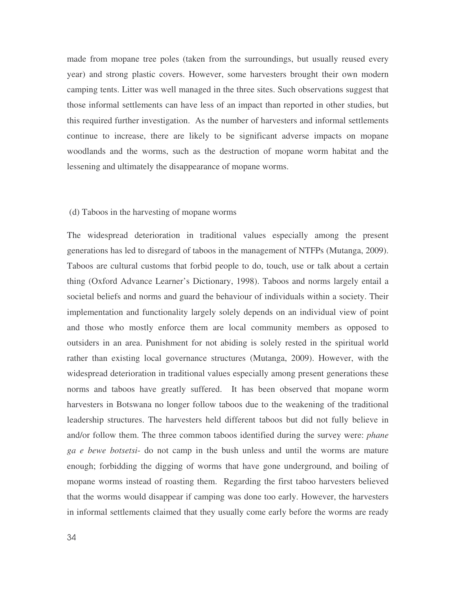made from mopane tree poles (taken from the surroundings, but usually reused every year) and strong plastic covers. However, some harvesters brought their own modern camping tents. Litter was well managed in the three sites. Such observations suggest that those informal settlements can have less of an impact than reported in other studies, but this required further investigation. As the number of harvesters and informal settlements continue to increase, there are likely to be significant adverse impacts on mopane woodlands and the worms, such as the destruction of mopane worm habitat and the lessening and ultimately the disappearance of mopane worms.

### (d) Taboos in the harvesting of mopane worms

The widespread deterioration in traditional values especially among the present generations has led to disregard of taboos in the management of NTFPs (Mutanga, 2009). Taboos are cultural customs that forbid people to do, touch, use or talk about a certain thing (Oxford Advance Learner's Dictionary, 1998). Taboos and norms largely entail a societal beliefs and norms and guard the behaviour of individuals within a society. Their implementation and functionality largely solely depends on an individual view of point and those who mostly enforce them are local community members as opposed to outsiders in an area. Punishment for not abiding is solely rested in the spiritual world rather than existing local governance structures (Mutanga, 2009). However, with the widespread deterioration in traditional values especially among present generations these norms and taboos have greatly suffered. It has been observed that mopane worm harvesters in Botswana no longer follow taboos due to the weakening of the traditional leadership structures. The harvesters held different taboos but did not fully believe in and/or follow them. The three common taboos identified during the survey were: *phane ga e bewe botsetsi*- do not camp in the bush unless and until the worms are mature enough; forbidding the digging of worms that have gone underground, and boiling of mopane worms instead of roasting them. Regarding the first taboo harvesters believed that the worms would disappear if camping was done too early. However, the harvesters in informal settlements claimed that they usually come early before the worms are ready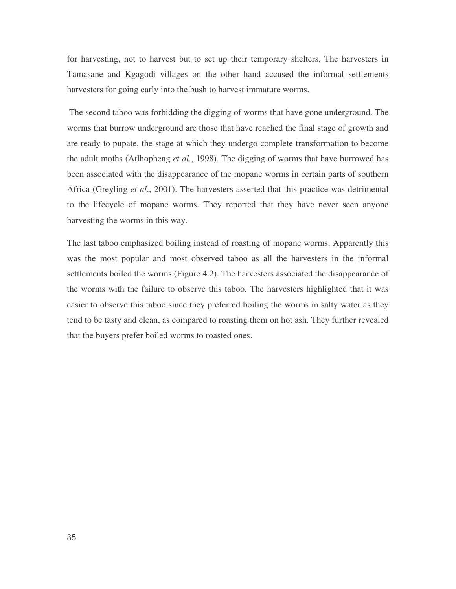for harvesting, not to harvest but to set up their temporary shelters. The harvesters in Tamasane and Kgagodi villages on the other hand accused the informal settlements harvesters for going early into the bush to harvest immature worms.

The second taboo was forbidding the digging of worms that have gone underground. The worms that burrow underground are those that have reached the final stage of growth and are ready to pupate, the stage at which they undergo complete transformation to become the adult moths (Atlhopheng *et al*., 1998). The digging of worms that have burrowed has been associated with the disappearance of the mopane worms in certain parts of southern Africa (Greyling *et al*., 2001). The harvesters asserted that this practice was detrimental to the lifecycle of mopane worms. They reported that they have never seen anyone harvesting the worms in this way.

The last taboo emphasized boiling instead of roasting of mopane worms. Apparently this was the most popular and most observed taboo as all the harvesters in the informal settlements boiled the worms (Figure 4.2). The harvesters associated the disappearance of the worms with the failure to observe this taboo. The harvesters highlighted that it was easier to observe this taboo since they preferred boiling the worms in salty water as they tend to be tasty and clean, as compared to roasting them on hot ash. They further revealed that the buyers prefer boiled worms to roasted ones.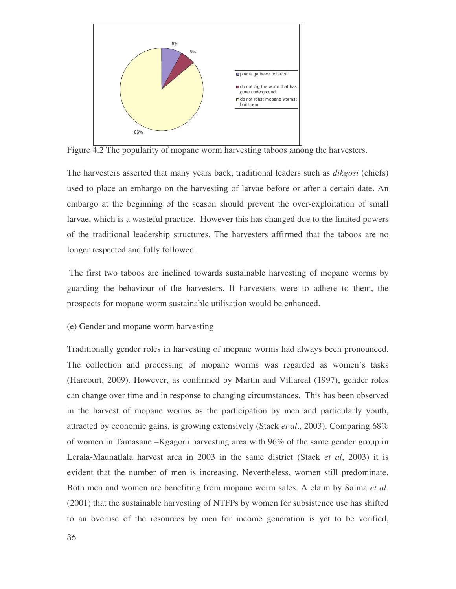

Figure  $\overline{4.2}$  The popularity of mopane worm harvesting taboos among the harvesters.

The harvesters asserted that many years back, traditional leaders such as *dikgosi* (chiefs) used to place an embargo on the harvesting of larvae before or after a certain date. An embargo at the beginning of the season should prevent the over-exploitation of small larvae, which is a wasteful practice. However this has changed due to the limited powers of the traditional leadership structures. The harvesters affirmed that the taboos are no longer respected and fully followed.

The first two taboos are inclined towards sustainable harvesting of mopane worms by guarding the behaviour of the harvesters. If harvesters were to adhere to them, the prospects for mopane worm sustainable utilisation would be enhanced.

(e) Gender and mopane worm harvesting

Traditionally gender roles in harvesting of mopane worms had always been pronounced. The collection and processing of mopane worms was regarded as women's tasks (Harcourt, 2009). However, as confirmed by Martin and Villareal (1997), gender roles can change over time and in response to changing circumstances. This has been observed in the harvest of mopane worms as the participation by men and particularly youth, attracted by economic gains, is growing extensively (Stack *et al*., 2003). Comparing 68% of women in Tamasane –Kgagodi harvesting area with 96% of the same gender group in Lerala-Maunatlala harvest area in 2003 in the same district (Stack *et al*, 2003) it is evident that the number of men is increasing. Nevertheless, women still predominate. Both men and women are benefiting from mopane worm sales. A claim by Salma *et al.* (2001) that the sustainable harvesting of NTFPs by women for subsistence use has shifted to an overuse of the resources by men for income generation is yet to be verified,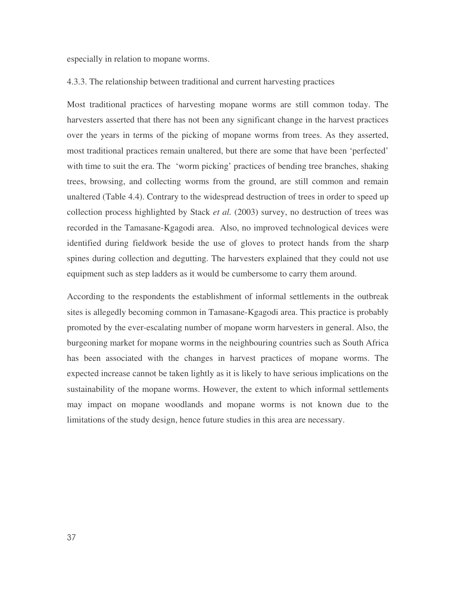especially in relation to mopane worms.

# 4.3.3. The relationship between traditional and current harvesting practices

Most traditional practices of harvesting mopane worms are still common today. The harvesters asserted that there has not been any significant change in the harvest practices over the years in terms of the picking of mopane worms from trees. As they asserted, most traditional practices remain unaltered, but there are some that have been 'perfected' with time to suit the era. The 'worm picking' practices of bending tree branches, shaking trees, browsing, and collecting worms from the ground, are still common and remain unaltered (Table 4.4). Contrary to the widespread destruction of trees in order to speed up collection process highlighted by Stack *et al.* (2003) survey, no destruction of trees was recorded in the Tamasane-Kgagodi area. Also, no improved technological devices were identified during fieldwork beside the use of gloves to protect hands from the sharp spines during collection and degutting. The harvesters explained that they could not use equipment such as step ladders as it would be cumbersome to carry them around.

According to the respondents the establishment of informal settlements in the outbreak sites is allegedly becoming common in Tamasane-Kgagodi area. This practice is probably promoted by the ever-escalating number of mopane worm harvesters in general. Also, the burgeoning market for mopane worms in the neighbouring countries such as South Africa has been associated with the changes in harvest practices of mopane worms. The expected increase cannot be taken lightly as it is likely to have serious implications on the sustainability of the mopane worms. However, the extent to which informal settlements may impact on mopane woodlands and mopane worms is not known due to the limitations of the study design, hence future studies in this area are necessary.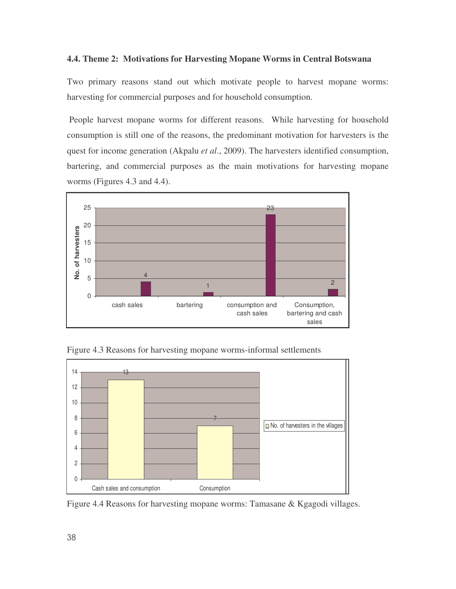### **4.4. Theme 2: Motivations for Harvesting Mopane Worms in Central Botswana**

Two primary reasons stand out which motivate people to harvest mopane worms: harvesting for commercial purposes and for household consumption.

People harvest mopane worms for different reasons. While harvesting for household consumption is still one of the reasons, the predominant motivation for harvesters is the quest for income generation (Akpalu *et al*., 2009). The harvesters identified consumption, bartering, and commercial purposes as the main motivations for harvesting mopane worms (Figures 4.3 and 4.4).



Figure 4.3 Reasons for harvesting mopane worms-informal settlements



Figure 4.4 Reasons for harvesting mopane worms: Tamasane & Kgagodi villages.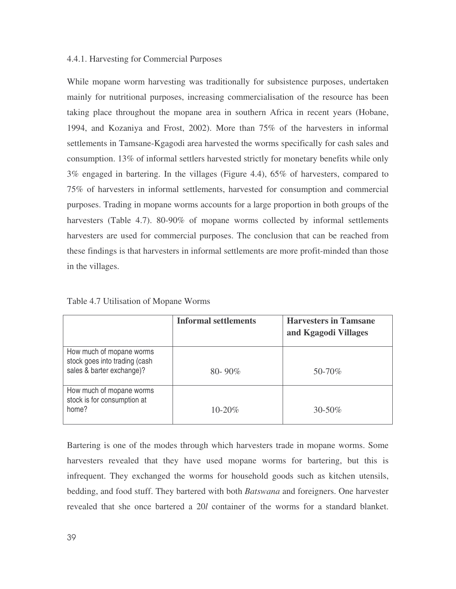## 4.4.1. Harvesting for Commercial Purposes

While mopane worm harvesting was traditionally for subsistence purposes, undertaken mainly for nutritional purposes, increasing commercialisation of the resource has been taking place throughout the mopane area in southern Africa in recent years (Hobane, 1994, and Kozaniya and Frost, 2002). More than 75% of the harvesters in informal settlements in Tamsane-Kgagodi area harvested the worms specifically for cash sales and consumption. 13% of informal settlers harvested strictly for monetary benefits while only 3% engaged in bartering. In the villages (Figure 4.4), 65% of harvesters, compared to 75% of harvesters in informal settlements, harvested for consumption and commercial purposes. Trading in mopane worms accounts for a large proportion in both groups of the harvesters (Table 4.7). 80-90% of mopane worms collected by informal settlements harvesters are used for commercial purposes. The conclusion that can be reached from these findings is that harvesters in informal settlements are more profit-minded than those in the villages.

|                                                                                        | <b>Informal settlements</b> | <b>Harvesters in Tamsane</b><br>and Kgagodi Villages |
|----------------------------------------------------------------------------------------|-----------------------------|------------------------------------------------------|
| How much of mopane worms<br>stock goes into trading (cash<br>sales & barter exchange)? | $80 - 90\%$                 | 50-70%                                               |
| How much of mopane worms<br>stock is for consumption at<br>home?                       | $10 - 20\%$                 | $30 - 50\%$                                          |

Table 4.7 Utilisation of Mopane Worms

Bartering is one of the modes through which harvesters trade in mopane worms. Some harvesters revealed that they have used mopane worms for bartering, but this is infrequent. They exchanged the worms for household goods such as kitchen utensils, bedding, and food stuff. They bartered with both *Batswana* and foreigners. One harvester revealed that she once bartered a 20*l* container of the worms for a standard blanket.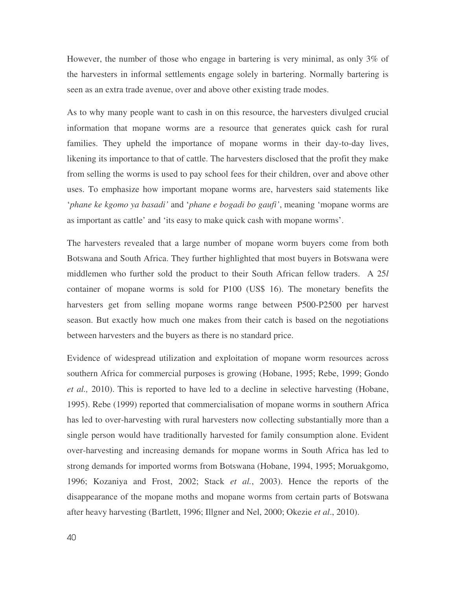However, the number of those who engage in bartering is very minimal, as only 3% of the harvesters in informal settlements engage solely in bartering. Normally bartering is seen as an extra trade avenue, over and above other existing trade modes.

As to why many people want to cash in on this resource, the harvesters divulged crucial information that mopane worms are a resource that generates quick cash for rural families. They upheld the importance of mopane worms in their day-to-day lives, likening its importance to that of cattle. The harvesters disclosed that the profit they make from selling the worms is used to pay school fees for their children, over and above other uses. To emphasize how important mopane worms are, harvesters said statements like '*phane ke kgomo ya basadi'* and '*phane e bogadi bo gaufi'*, meaning 'mopane worms are as important as cattle' and 'its easy to make quick cash with mopane worms'.

The harvesters revealed that a large number of mopane worm buyers come from both Botswana and South Africa. They further highlighted that most buyers in Botswana were middlemen who further sold the product to their South African fellow traders. A 25*l* container of mopane worms is sold for P100 (US\$ 16). The monetary benefits the harvesters get from selling mopane worms range between P500-P2500 per harvest season. But exactly how much one makes from their catch is based on the negotiations between harvesters and the buyers as there is no standard price.

Evidence of widespread utilization and exploitation of mopane worm resources across southern Africa for commercial purposes is growing (Hobane, 1995; Rebe, 1999; Gondo *et al.,* 2010). This is reported to have led to a decline in selective harvesting (Hobane, 1995). Rebe (1999) reported that commercialisation of mopane worms in southern Africa has led to over-harvesting with rural harvesters now collecting substantially more than a single person would have traditionally harvested for family consumption alone. Evident over-harvesting and increasing demands for mopane worms in South Africa has led to strong demands for imported worms from Botswana (Hobane, 1994, 1995; Moruakgomo, 1996; Kozaniya and Frost, 2002; Stack *et al.*, 2003). Hence the reports of the disappearance of the mopane moths and mopane worms from certain parts of Botswana after heavy harvesting (Bartlett, 1996; Illgner and Nel, 2000; Okezie *et al*., 2010).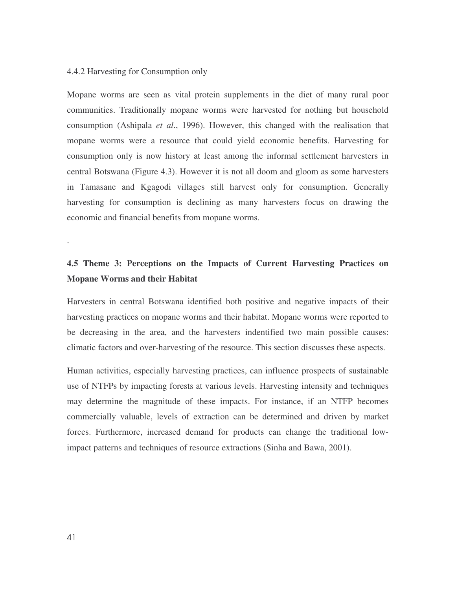### 4.4.2 Harvesting for Consumption only

Mopane worms are seen as vital protein supplements in the diet of many rural poor communities. Traditionally mopane worms were harvested for nothing but household consumption (Ashipala *et al*., 1996). However, this changed with the realisation that mopane worms were a resource that could yield economic benefits. Harvesting for consumption only is now history at least among the informal settlement harvesters in central Botswana (Figure 4.3). However it is not all doom and gloom as some harvesters in Tamasane and Kgagodi villages still harvest only for consumption. Generally harvesting for consumption is declining as many harvesters focus on drawing the economic and financial benefits from mopane worms.

# **4.5 Theme 3: Perceptions on the Impacts of Current Harvesting Practices on Mopane Worms and their Habitat**

Harvesters in central Botswana identified both positive and negative impacts of their harvesting practices on mopane worms and their habitat. Mopane worms were reported to be decreasing in the area, and the harvesters indentified two main possible causes: climatic factors and over-harvesting of the resource. This section discusses these aspects.

Human activities, especially harvesting practices, can influence prospects of sustainable use of NTFPs by impacting forests at various levels. Harvesting intensity and techniques may determine the magnitude of these impacts. For instance, if an NTFP becomes commercially valuable, levels of extraction can be determined and driven by market forces. Furthermore, increased demand for products can change the traditional lowimpact patterns and techniques of resource extractions (Sinha and Bawa, 2001).

.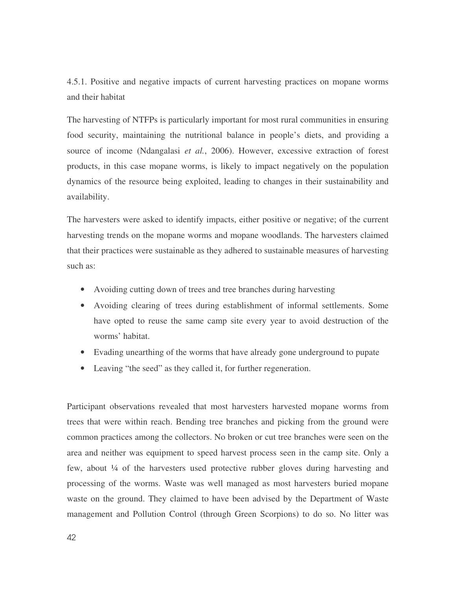4.5.1. Positive and negative impacts of current harvesting practices on mopane worms and their habitat

The harvesting of NTFPs is particularly important for most rural communities in ensuring food security, maintaining the nutritional balance in people's diets, and providing a source of income (Ndangalasi *et al.*, 2006). However, excessive extraction of forest products, in this case mopane worms, is likely to impact negatively on the population dynamics of the resource being exploited, leading to changes in their sustainability and availability.

The harvesters were asked to identify impacts, either positive or negative; of the current harvesting trends on the mopane worms and mopane woodlands. The harvesters claimed that their practices were sustainable as they adhered to sustainable measures of harvesting such as:

- Avoiding cutting down of trees and tree branches during harvesting
- Avoiding clearing of trees during establishment of informal settlements. Some have opted to reuse the same camp site every year to avoid destruction of the worms' habitat.
- Evading unearthing of the worms that have already gone underground to pupate
- Leaving "the seed" as they called it, for further regeneration.

Participant observations revealed that most harvesters harvested mopane worms from trees that were within reach. Bending tree branches and picking from the ground were common practices among the collectors. No broken or cut tree branches were seen on the area and neither was equipment to speed harvest process seen in the camp site. Only a few, about ¼ of the harvesters used protective rubber gloves during harvesting and processing of the worms. Waste was well managed as most harvesters buried mopane waste on the ground. They claimed to have been advised by the Department of Waste management and Pollution Control (through Green Scorpions) to do so. No litter was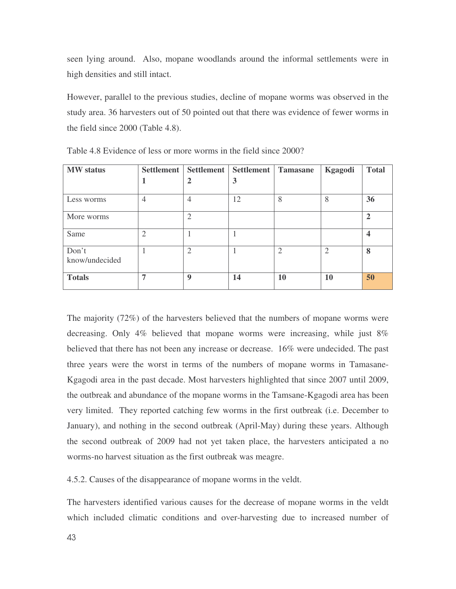seen lying around. Also, mopane woodlands around the informal settlements were in high densities and still intact.

However, parallel to the previous studies, decline of mopane worms was observed in the study area. 36 harvesters out of 50 pointed out that there was evidence of fewer worms in the field since 2000 (Table 4.8).

| <b>MW</b> status        | <b>Settlement</b> | Settlement     | Settlement | <b>Tamasane</b>             | Kgagodi        | <b>Total</b> |
|-------------------------|-------------------|----------------|------------|-----------------------------|----------------|--------------|
|                         |                   | 2              | 3          |                             |                |              |
| Less worms              | $\overline{4}$    | $\overline{4}$ | 12         | 8                           | 8              | 36           |
| More worms              |                   | $\overline{2}$ |            |                             |                | $\mathbf{2}$ |
| Same                    | $\overline{2}$    |                |            |                             |                |              |
| Don't<br>know/undecided |                   | $\overline{2}$ |            | $\mathcal{D}_{\mathcal{L}}$ | $\overline{2}$ | 8            |
| <b>Totals</b>           | 7                 | <b>Q</b>       | 14         | <b>10</b>                   | 10             | 50           |

Table 4.8 Evidence of less or more worms in the field since 2000?

The majority (72%) of the harvesters believed that the numbers of mopane worms were decreasing. Only 4% believed that mopane worms were increasing, while just 8% believed that there has not been any increase or decrease. 16% were undecided. The past three years were the worst in terms of the numbers of mopane worms in Tamasane-Kgagodi area in the past decade. Most harvesters highlighted that since 2007 until 2009, the outbreak and abundance of the mopane worms in the Tamsane-Kgagodi area has been very limited. They reported catching few worms in the first outbreak (i.e. December to January), and nothing in the second outbreak (April-May) during these years. Although the second outbreak of 2009 had not yet taken place, the harvesters anticipated a no worms-no harvest situation as the first outbreak was meagre.

4.5.2. Causes of the disappearance of mopane worms in the veldt.

The harvesters identified various causes for the decrease of mopane worms in the veldt which included climatic conditions and over-harvesting due to increased number of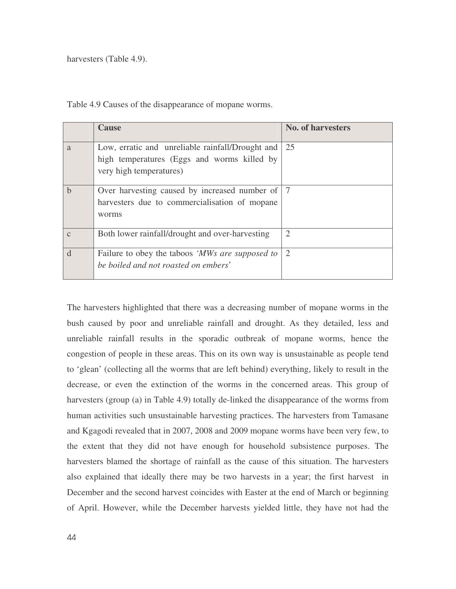harvesters (Table 4.9).

Table 4.9 Causes of the disappearance of mopane worms.

|              | <b>Cause</b>                                                                                                               | <b>No. of harvesters</b> |
|--------------|----------------------------------------------------------------------------------------------------------------------------|--------------------------|
| a            | Low, erratic and unreliable rainfall/Drought and<br>high temperatures (Eggs and worms killed by<br>very high temperatures) | 25                       |
| $\mathbf b$  | Over harvesting caused by increased number of   7<br>harvesters due to commercialisation of mopane<br>worms                |                          |
| $\mathbf{C}$ | Both lower rainfall/drought and over-harvesting                                                                            | 2                        |
| d            | Failure to obey the taboos 'MWs are supposed to<br>be boiled and not roasted on embers'                                    | $\overline{2}$           |

The harvesters highlighted that there was a decreasing number of mopane worms in the bush caused by poor and unreliable rainfall and drought. As they detailed, less and unreliable rainfall results in the sporadic outbreak of mopane worms, hence the congestion of people in these areas. This on its own way is unsustainable as people tend to 'glean' (collecting all the worms that are left behind) everything, likely to result in the decrease, or even the extinction of the worms in the concerned areas. This group of harvesters (group (a) in Table 4.9) totally de-linked the disappearance of the worms from human activities such unsustainable harvesting practices. The harvesters from Tamasane and Kgagodi revealed that in 2007, 2008 and 2009 mopane worms have been very few, to the extent that they did not have enough for household subsistence purposes. The harvesters blamed the shortage of rainfall as the cause of this situation. The harvesters also explained that ideally there may be two harvests in a year; the first harvest in December and the second harvest coincides with Easter at the end of March or beginning of April. However, while the December harvests yielded little, they have not had the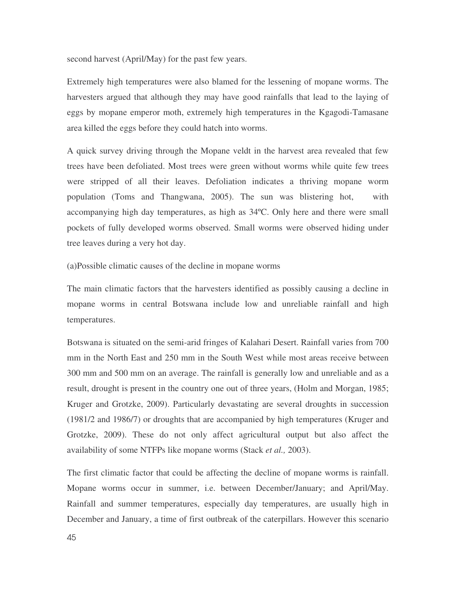second harvest (April/May) for the past few years.

Extremely high temperatures were also blamed for the lessening of mopane worms. The harvesters argued that although they may have good rainfalls that lead to the laying of eggs by mopane emperor moth, extremely high temperatures in the Kgagodi-Tamasane area killed the eggs before they could hatch into worms.

A quick survey driving through the Mopane veldt in the harvest area revealed that few trees have been defoliated. Most trees were green without worms while quite few trees were stripped of all their leaves. Defoliation indicates a thriving mopane worm population (Toms and Thangwana, 2005). The sun was blistering hot, with accompanying high day temperatures, as high as 34ºC. Only here and there were small pockets of fully developed worms observed. Small worms were observed hiding under tree leaves during a very hot day.

(a)Possible climatic causes of the decline in mopane worms

The main climatic factors that the harvesters identified as possibly causing a decline in mopane worms in central Botswana include low and unreliable rainfall and high temperatures.

Botswana is situated on the semi-arid fringes of Kalahari Desert. Rainfall varies from 700 mm in the North East and 250 mm in the South West while most areas receive between 300 mm and 500 mm on an average. The rainfall is generally low and unreliable and as a result, drought is present in the country one out of three years, (Holm and Morgan, 1985; Kruger and Grotzke, 2009). Particularly devastating are several droughts in succession (1981/2 and 1986/7) or droughts that are accompanied by high temperatures (Kruger and Grotzke, 2009). These do not only affect agricultural output but also affect the availability of some NTFPs like mopane worms (Stack *et al.,* 2003).

The first climatic factor that could be affecting the decline of mopane worms is rainfall. Mopane worms occur in summer, i.e. between December/January; and April/May. Rainfall and summer temperatures, especially day temperatures, are usually high in December and January, a time of first outbreak of the caterpillars. However this scenario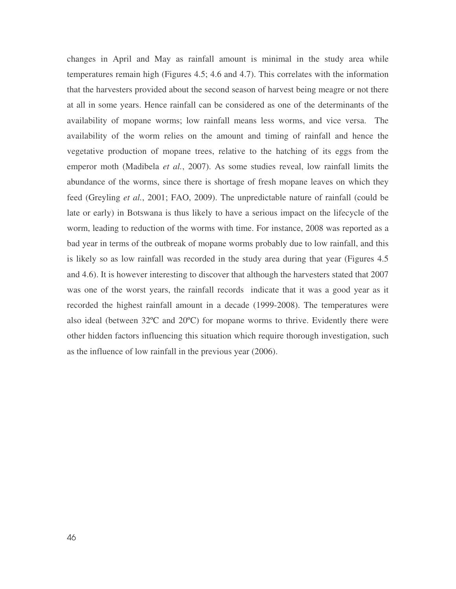changes in April and May as rainfall amount is minimal in the study area while temperatures remain high (Figures 4.5; 4.6 and 4.7). This correlates with the information that the harvesters provided about the second season of harvest being meagre or not there at all in some years. Hence rainfall can be considered as one of the determinants of the availability of mopane worms; low rainfall means less worms, and vice versa. The availability of the worm relies on the amount and timing of rainfall and hence the vegetative production of mopane trees, relative to the hatching of its eggs from the emperor moth (Madibela *et al.*, 2007). As some studies reveal, low rainfall limits the abundance of the worms, since there is shortage of fresh mopane leaves on which they feed (Greyling *et al.*, 2001; FAO, 2009). The unpredictable nature of rainfall (could be late or early) in Botswana is thus likely to have a serious impact on the lifecycle of the worm, leading to reduction of the worms with time. For instance, 2008 was reported as a bad year in terms of the outbreak of mopane worms probably due to low rainfall, and this is likely so as low rainfall was recorded in the study area during that year (Figures 4.5 and 4.6). It is however interesting to discover that although the harvesters stated that 2007 was one of the worst years, the rainfall records indicate that it was a good year as it recorded the highest rainfall amount in a decade (1999-2008). The temperatures were also ideal (between 32ºC and 20ºC) for mopane worms to thrive. Evidently there were other hidden factors influencing this situation which require thorough investigation, such as the influence of low rainfall in the previous year (2006).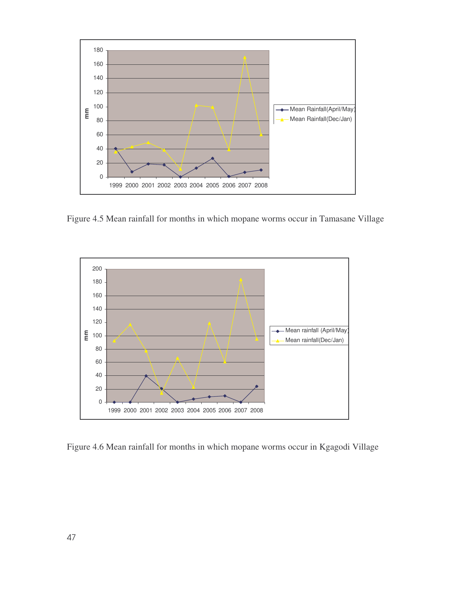

Figure 4.5 Mean rainfall for months in which mopane worms occur in Tamasane Village



Figure 4.6 Mean rainfall for months in which mopane worms occur in Kgagodi Village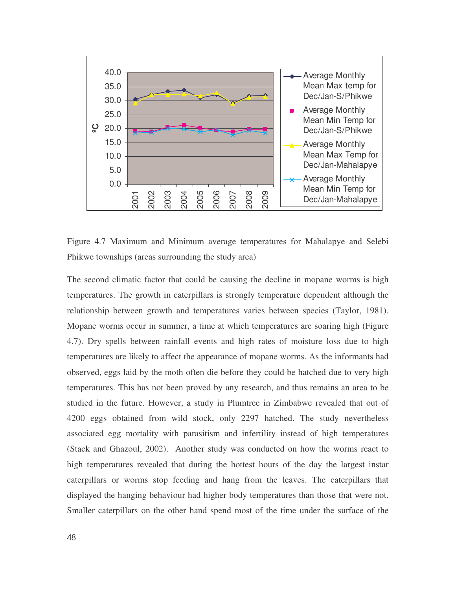

Figure 4.7 Maximum and Minimum average temperatures for Mahalapye and Selebi Phikwe townships (areas surrounding the study area)

The second climatic factor that could be causing the decline in mopane worms is high temperatures. The growth in caterpillars is strongly temperature dependent although the relationship between growth and temperatures varies between species (Taylor, 1981). Mopane worms occur in summer, a time at which temperatures are soaring high (Figure 4.7). Dry spells between rainfall events and high rates of moisture loss due to high temperatures are likely to affect the appearance of mopane worms. As the informants had observed, eggs laid by the moth often die before they could be hatched due to very high temperatures. This has not been proved by any research, and thus remains an area to be studied in the future. However, a study in Plumtree in Zimbabwe revealed that out of 4200 eggs obtained from wild stock, only 2297 hatched. The study nevertheless associated egg mortality with parasitism and infertility instead of high temperatures (Stack and Ghazoul, 2002). Another study was conducted on how the worms react to high temperatures revealed that during the hottest hours of the day the largest instar caterpillars or worms stop feeding and hang from the leaves. The caterpillars that displayed the hanging behaviour had higher body temperatures than those that were not. Smaller caterpillars on the other hand spend most of the time under the surface of the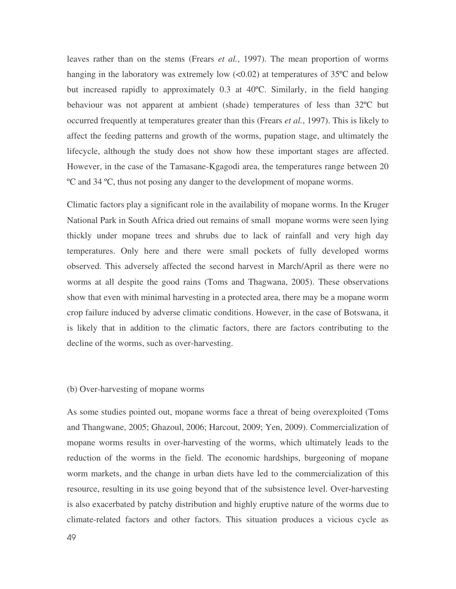leaves rather than on the stems (Frears *et al.*, 1997). The mean proportion of worms hanging in the laboratory was extremely low  $(<0.02$ ) at temperatures of 35 $\degree$ C and below but increased rapidly to approximately 0.3 at 40ºC. Similarly, in the field hanging behaviour was not apparent at ambient (shade) temperatures of less than 32ºC but occurred frequently at temperatures greater than this (Frears *et al.*, 1997). This is likely to affect the feeding patterns and growth of the worms, pupation stage, and ultimately the lifecycle, although the study does not show how these important stages are affected. However, in the case of the Tamasane-Kgagodi area, the temperatures range between 20 ºC and 34 ºC, thus not posing any danger to the development of mopane worms.

Climatic factors play a significant role in the availability of mopane worms. In the Kruger National Park in South Africa dried out remains of small mopane worms were seen lying thickly under mopane trees and shrubs due to lack of rainfall and very high day temperatures. Only here and there were small pockets of fully developed worms observed. This adversely affected the second harvest in March/April as there were no worms at all despite the good rains (Toms and Thagwana, 2005). These observations show that even with minimal harvesting in a protected area, there may be a mopane worm crop failure induced by adverse climatic conditions. However, in the case of Botswana, it is likely that in addition to the climatic factors, there are factors contributing to the decline of the worms, such as over-harvesting.

# (b) Over-harvesting of mopane worms

As some studies pointed out, mopane worms face a threat of being overexploited (Toms and Thangwane, 2005; Ghazoul, 2006; Harcout, 2009; Yen, 2009). Commercialization of mopane worms results in over-harvesting of the worms, which ultimately leads to the reduction of the worms in the field. The economic hardships, burgeoning of mopane worm markets, and the change in urban diets have led to the commercialization of this resource, resulting in its use going beyond that of the subsistence level. Over-harvesting is also exacerbated by patchy distribution and highly eruptive nature of the worms due to climate-related factors and other factors. This situation produces a vicious cycle as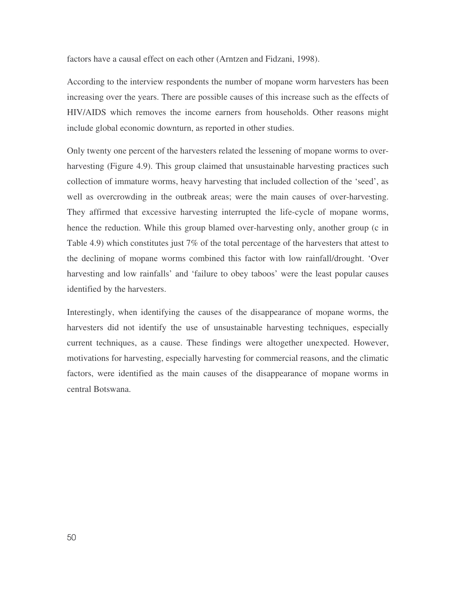factors have a causal effect on each other (Arntzen and Fidzani, 1998).

According to the interview respondents the number of mopane worm harvesters has been increasing over the years. There are possible causes of this increase such as the effects of HIV/AIDS which removes the income earners from households. Other reasons might include global economic downturn, as reported in other studies.

Only twenty one percent of the harvesters related the lessening of mopane worms to overharvesting (Figure 4.9). This group claimed that unsustainable harvesting practices such collection of immature worms, heavy harvesting that included collection of the 'seed', as well as overcrowding in the outbreak areas; were the main causes of over-harvesting. They affirmed that excessive harvesting interrupted the life-cycle of mopane worms, hence the reduction. While this group blamed over-harvesting only, another group (c in Table 4.9) which constitutes just 7% of the total percentage of the harvesters that attest to the declining of mopane worms combined this factor with low rainfall/drought. 'Over harvesting and low rainfalls' and 'failure to obey taboos' were the least popular causes identified by the harvesters.

Interestingly, when identifying the causes of the disappearance of mopane worms, the harvesters did not identify the use of unsustainable harvesting techniques, especially current techniques, as a cause. These findings were altogether unexpected. However, motivations for harvesting, especially harvesting for commercial reasons, and the climatic factors, were identified as the main causes of the disappearance of mopane worms in central Botswana.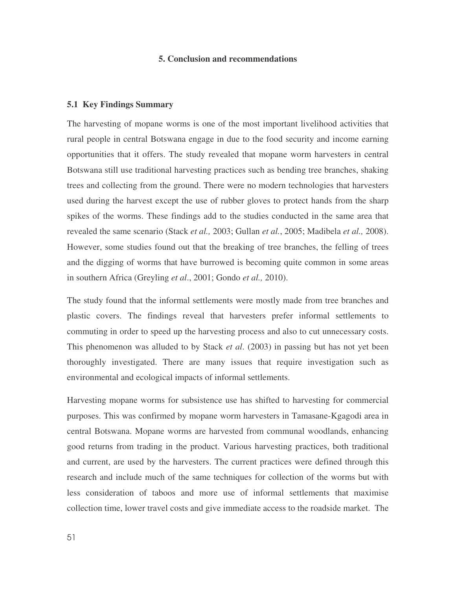# **5. Conclusion and recommendations**

#### **5.1 Key Findings Summary**

The harvesting of mopane worms is one of the most important livelihood activities that rural people in central Botswana engage in due to the food security and income earning opportunities that it offers. The study revealed that mopane worm harvesters in central Botswana still use traditional harvesting practices such as bending tree branches, shaking trees and collecting from the ground. There were no modern technologies that harvesters used during the harvest except the use of rubber gloves to protect hands from the sharp spikes of the worms. These findings add to the studies conducted in the same area that revealed the same scenario (Stack *et al.,* 2003; Gullan *et al.*, 2005; Madibela *et al.,* 2008). However, some studies found out that the breaking of tree branches, the felling of trees and the digging of worms that have burrowed is becoming quite common in some areas in southern Africa (Greyling *et al*., 2001; Gondo *et al.,* 2010).

The study found that the informal settlements were mostly made from tree branches and plastic covers. The findings reveal that harvesters prefer informal settlements to commuting in order to speed up the harvesting process and also to cut unnecessary costs. This phenomenon was alluded to by Stack *et al*. (2003) in passing but has not yet been thoroughly investigated. There are many issues that require investigation such as environmental and ecological impacts of informal settlements.

Harvesting mopane worms for subsistence use has shifted to harvesting for commercial purposes. This was confirmed by mopane worm harvesters in Tamasane-Kgagodi area in central Botswana. Mopane worms are harvested from communal woodlands, enhancing good returns from trading in the product. Various harvesting practices, both traditional and current, are used by the harvesters. The current practices were defined through this research and include much of the same techniques for collection of the worms but with less consideration of taboos and more use of informal settlements that maximise collection time, lower travel costs and give immediate access to the roadside market. The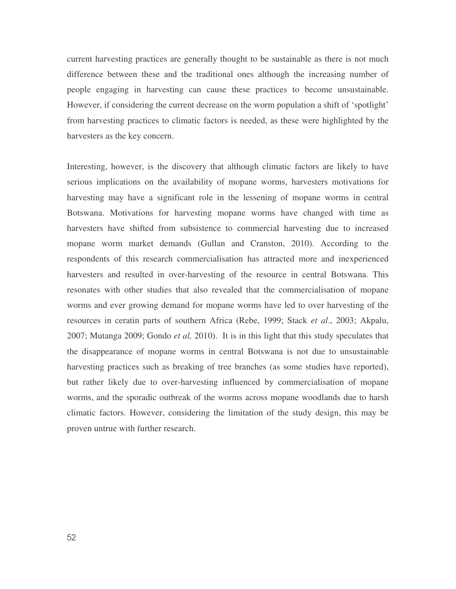current harvesting practices are generally thought to be sustainable as there is not much difference between these and the traditional ones although the increasing number of people engaging in harvesting can cause these practices to become unsustainable. However, if considering the current decrease on the worm population a shift of 'spotlight' from harvesting practices to climatic factors is needed, as these were highlighted by the harvesters as the key concern.

Interesting, however, is the discovery that although climatic factors are likely to have serious implications on the availability of mopane worms, harvesters motivations for harvesting may have a significant role in the lessening of mopane worms in central Botswana. Motivations for harvesting mopane worms have changed with time as harvesters have shifted from subsistence to commercial harvesting due to increased mopane worm market demands (Gullan and Cranston, 2010). According to the respondents of this research commercialisation has attracted more and inexperienced harvesters and resulted in over-harvesting of the resource in central Botswana. This resonates with other studies that also revealed that the commercialisation of mopane worms and ever growing demand for mopane worms have led to over harvesting of the resources in ceratin parts of southern Africa (Rebe, 1999; Stack *et al*., 2003; Akpalu, 2007; Mutanga 2009; Gondo *et al,* 2010). It is in this light that this study speculates that the disappearance of mopane worms in central Botswana is not due to unsustainable harvesting practices such as breaking of tree branches (as some studies have reported), but rather likely due to over-harvesting influenced by commercialisation of mopane worms, and the sporadic outbreak of the worms across mopane woodlands due to harsh climatic factors. However, considering the limitation of the study design, this may be proven untrue with further research.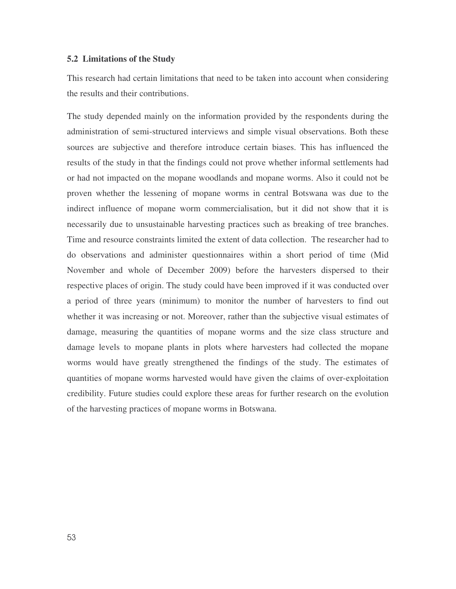# **5.2 Limitations of the Study**

This research had certain limitations that need to be taken into account when considering the results and their contributions.

The study depended mainly on the information provided by the respondents during the administration of semi-structured interviews and simple visual observations. Both these sources are subjective and therefore introduce certain biases. This has influenced the results of the study in that the findings could not prove whether informal settlements had or had not impacted on the mopane woodlands and mopane worms. Also it could not be proven whether the lessening of mopane worms in central Botswana was due to the indirect influence of mopane worm commercialisation, but it did not show that it is necessarily due to unsustainable harvesting practices such as breaking of tree branches. Time and resource constraints limited the extent of data collection. The researcher had to do observations and administer questionnaires within a short period of time (Mid November and whole of December 2009) before the harvesters dispersed to their respective places of origin. The study could have been improved if it was conducted over a period of three years (minimum) to monitor the number of harvesters to find out whether it was increasing or not. Moreover, rather than the subjective visual estimates of damage, measuring the quantities of mopane worms and the size class structure and damage levels to mopane plants in plots where harvesters had collected the mopane worms would have greatly strengthened the findings of the study. The estimates of quantities of mopane worms harvested would have given the claims of over-exploitation credibility. Future studies could explore these areas for further research on the evolution of the harvesting practices of mopane worms in Botswana.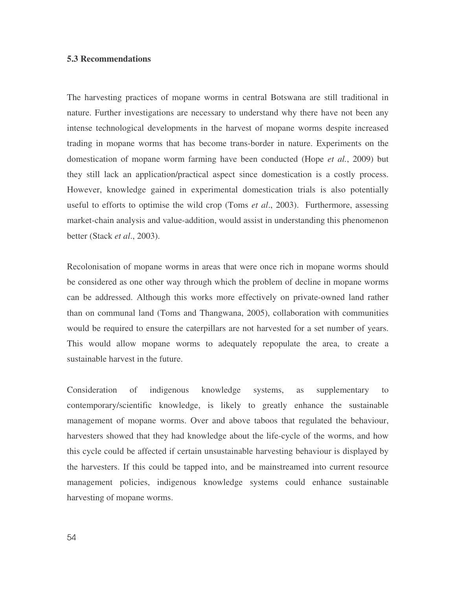# **5.3 Recommendations**

The harvesting practices of mopane worms in central Botswana are still traditional in nature. Further investigations are necessary to understand why there have not been any intense technological developments in the harvest of mopane worms despite increased trading in mopane worms that has become trans-border in nature. Experiments on the domestication of mopane worm farming have been conducted (Hope *et al.*, 2009) but they still lack an application/practical aspect since domestication is a costly process. However, knowledge gained in experimental domestication trials is also potentially useful to efforts to optimise the wild crop (Toms *et al*., 2003). Furthermore, assessing market-chain analysis and value-addition, would assist in understanding this phenomenon better (Stack *et al*., 2003).

Recolonisation of mopane worms in areas that were once rich in mopane worms should be considered as one other way through which the problem of decline in mopane worms can be addressed. Although this works more effectively on private-owned land rather than on communal land (Toms and Thangwana, 2005), collaboration with communities would be required to ensure the caterpillars are not harvested for a set number of years. This would allow mopane worms to adequately repopulate the area, to create a sustainable harvest in the future.

Consideration of indigenous knowledge systems, as supplementary to contemporary/scientific knowledge, is likely to greatly enhance the sustainable management of mopane worms. Over and above taboos that regulated the behaviour, harvesters showed that they had knowledge about the life-cycle of the worms, and how this cycle could be affected if certain unsustainable harvesting behaviour is displayed by the harvesters. If this could be tapped into, and be mainstreamed into current resource management policies, indigenous knowledge systems could enhance sustainable harvesting of mopane worms.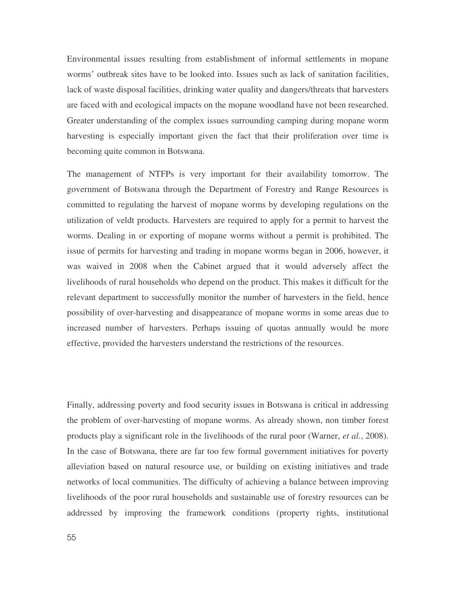Environmental issues resulting from establishment of informal settlements in mopane worms' outbreak sites have to be looked into. Issues such as lack of sanitation facilities, lack of waste disposal facilities, drinking water quality and dangers/threats that harvesters are faced with and ecological impacts on the mopane woodland have not been researched. Greater understanding of the complex issues surrounding camping during mopane worm harvesting is especially important given the fact that their proliferation over time is becoming quite common in Botswana.

The management of NTFPs is very important for their availability tomorrow. The government of Botswana through the Department of Forestry and Range Resources is committed to regulating the harvest of mopane worms by developing regulations on the utilization of veldt products. Harvesters are required to apply for a permit to harvest the worms. Dealing in or exporting of mopane worms without a permit is prohibited. The issue of permits for harvesting and trading in mopane worms began in 2006, however, it was waived in 2008 when the Cabinet argued that it would adversely affect the livelihoods of rural households who depend on the product. This makes it difficult for the relevant department to successfully monitor the number of harvesters in the field, hence possibility of over-harvesting and disappearance of mopane worms in some areas due to increased number of harvesters. Perhaps issuing of quotas annually would be more effective, provided the harvesters understand the restrictions of the resources.

Finally, addressing poverty and food security issues in Botswana is critical in addressing the problem of over-harvesting of mopane worms. As already shown, non timber forest products play a significant role in the livelihoods of the rural poor (Warner, *et al.*, 2008). In the case of Botswana, there are far too few formal government initiatives for poverty alleviation based on natural resource use, or building on existing initiatives and trade networks of local communities. The difficulty of achieving a balance between improving livelihoods of the poor rural households and sustainable use of forestry resources can be addressed by improving the framework conditions (property rights, institutional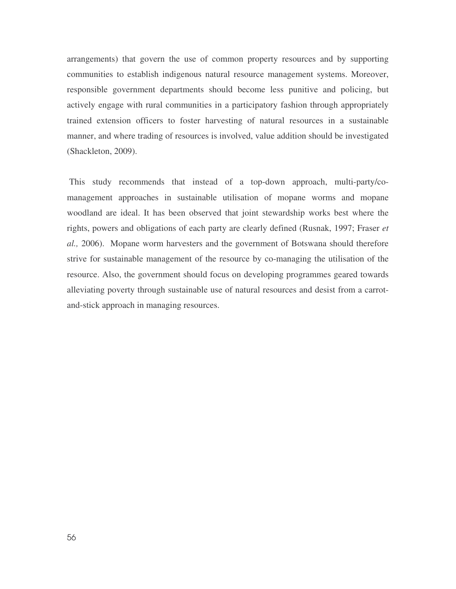arrangements) that govern the use of common property resources and by supporting communities to establish indigenous natural resource management systems. Moreover, responsible government departments should become less punitive and policing, but actively engage with rural communities in a participatory fashion through appropriately trained extension officers to foster harvesting of natural resources in a sustainable manner, and where trading of resources is involved, value addition should be investigated (Shackleton, 2009).

This study recommends that instead of a top-down approach, multi-party/comanagement approaches in sustainable utilisation of mopane worms and mopane woodland are ideal. It has been observed that joint stewardship works best where the rights, powers and obligations of each party are clearly defined (Rusnak, 1997; Fraser *et al.,* 2006). Mopane worm harvesters and the government of Botswana should therefore strive for sustainable management of the resource by co-managing the utilisation of the resource. Also, the government should focus on developing programmes geared towards alleviating poverty through sustainable use of natural resources and desist from a carrotand-stick approach in managing resources.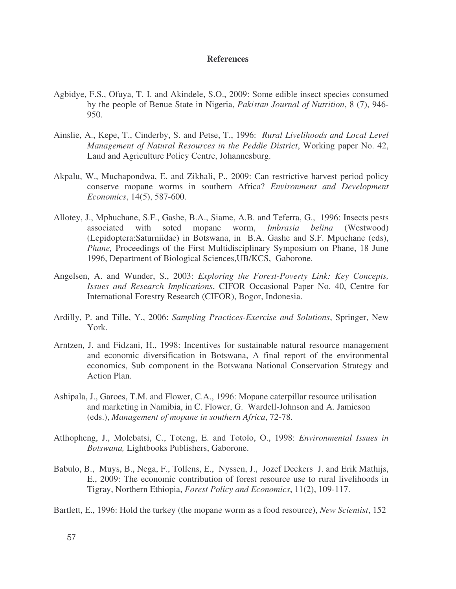### **References**

- Agbidye, F.S., Ofuya, T. I. and Akindele, S.O., 2009: Some edible insect species consumed by the people of Benue State in Nigeria, *Pakistan Journal of Nutrition*, 8 (7), 946- 950.
- Ainslie, A., Kepe, T., Cinderby, S. and Petse, T., 1996: *Rural Livelihoods and Local Level Management of Natural Resources in the Peddie District*, Working paper No. 42, Land and Agriculture Policy Centre, Johannesburg.
- Akpalu, W., Muchapondwa, E. and Zikhali, P., 2009: Can restrictive harvest period policy conserve mopane worms in southern Africa? *Environment and Development Economics*, 14(5), 587-600.
- Allotey, J., Mphuchane, S.F., Gashe, B.A., Siame, A.B. and Teferra, G., 1996: Insects pests associated with soted mopane worm, *Imbrasia belina* (Westwood) (Lepidoptera:Saturniidae) in Botswana, in B.A. Gashe and S.F. Mpuchane (eds), *Phane,* Proceedings of the First Multidisciplinary Symposium on Phane, 18 June 1996, Department of Biological Sciences,UB/KCS, Gaborone.
- Angelsen, A. and Wunder, S., 2003: *Exploring the Forest-Poverty Link: Key Concepts, Issues and Research Implications*, CIFOR Occasional Paper No. 40, Centre for International Forestry Research (CIFOR), Bogor, Indonesia.
- Ardilly, P. and Tille, Y., 2006: *Sampling Practices-Exercise and Solutions*, Springer, New York.
- Arntzen, J. and Fidzani, H., 1998: Incentives for sustainable natural resource management and economic diversification in Botswana, A final report of the environmental economics, Sub component in the Botswana National Conservation Strategy and Action Plan.
- Ashipala, J., Garoes, T.M. and Flower, C.A., 1996: Mopane caterpillar resource utilisation and marketing in Namibia, in C. Flower, G. Wardell-Johnson and A. Jamieson (eds.), *Management of mopane in southern Africa*, 72-78.
- Atlhopheng, J., Molebatsi, C., Toteng, E. and Totolo, O., 1998: *Environmental Issues in Botswana,* Lightbooks Publishers, Gaborone.
- Babulo, B., Muys, B., Nega, F., Tollens, E., Nyssen, J., Jozef Deckers J. and Erik Mathijs, E., 2009: The economic contribution of forest resource use to rural livelihoods in Tigray, Northern Ethiopia, *Forest Policy and Economics*, 11(2), 109-117.
- Bartlett, E., 1996: Hold the turkey (the mopane worm as a food resource), *New Scientist*, 152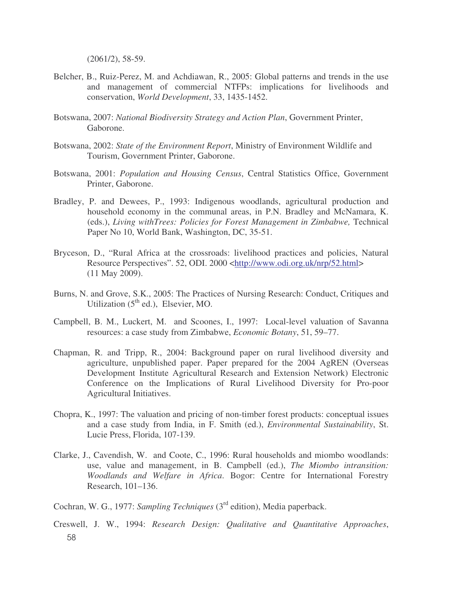(2061/2), 58-59.

- Belcher, B., Ruiz-Perez, M. and Achdiawan, R., 2005: Global patterns and trends in the use and management of commercial NTFPs: implications for livelihoods and conservation, *World Development*, 33, 1435-1452.
- Botswana, 2007: *National Biodiversity Strategy and Action Plan*, Government Printer, Gaborone.
- Botswana, 2002: *State of the Environment Report*, Ministry of Environment Wildlife and Tourism, Government Printer, Gaborone.
- Botswana, 2001: *Population and Housing Census*, Central Statistics Office, Government Printer, Gaborone.
- Bradley, P. and Dewees, P., 1993: Indigenous woodlands, agricultural production and household economy in the communal areas, in P.N. Bradley and McNamara, K. (eds.), *Living withTrees: Policies for Forest Management in Zimbabwe,* Technical Paper No 10, World Bank, Washington, DC, 35-51.
- Bryceson, D., "Rural Africa at the crossroads: livelihood practices and policies, Natural Resource Perspectives". 52, ODI. 2000 <http://www.odi.org.uk/nrp/52.html> (11 May 2009).
- Burns, N. and Grove, S.K., 2005: The Practices of Nursing Research: Conduct, Critiques and Utilization  $(5<sup>th</sup>$  ed.), Elsevier, MO.
- Campbell, B. M., Luckert, M. and Scoones, I., 1997: Local-level valuation of Savanna resources: a case study from Zimbabwe, *Economic Botany*, 51, 59–77.
- Chapman, R. and Tripp, R., 2004: Background paper on rural livelihood diversity and agriculture, unpublished paper. Paper prepared for the 2004 AgREN (Overseas Development Institute Agricultural Research and Extension Network) Electronic Conference on the Implications of Rural Livelihood Diversity for Pro-poor Agricultural Initiatives.
- Chopra, K., 1997: The valuation and pricing of non-timber forest products: conceptual issues and a case study from India, in F. Smith (ed.), *Environmental Sustainability*, St. Lucie Press, Florida, 107-139.
- Clarke, J., Cavendish, W. and Coote, C., 1996: Rural households and miombo woodlands: use, value and management, in B. Campbell (ed.), *The Miombo intransition: Woodlands and Welfare in Africa*. Bogor: Centre for International Forestry Research, 101–136.
- Cochran, W. G., 1977: Sampling Techniques (3<sup>rd</sup> edition), Media paperback.
- 58 Creswell, J. W., 1994: *Research Design: Qualitative and Quantitative Approaches*,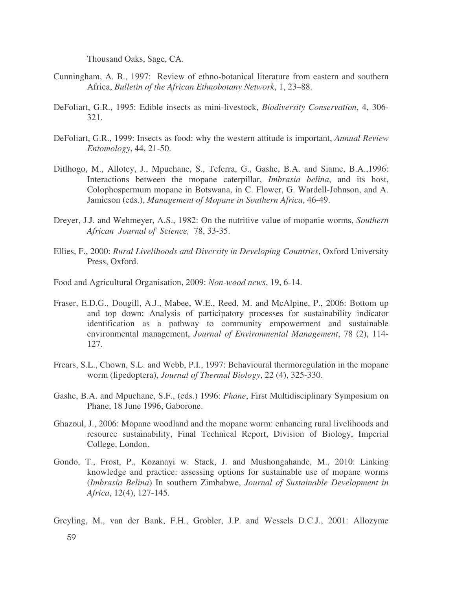Thousand Oaks, Sage, CA.

- Cunningham, A. B., 1997: Review of ethno-botanical literature from eastern and southern Africa, *Bulletin of the African Ethnobotany Network*, 1, 23–88.
- DeFoliart, G.R., 1995: Edible insects as mini-livestock, *Biodiversity Conservation*, 4, 306- 321.
- DeFoliart, G.R., 1999: Insects as food: why the western attitude is important, *Annual Review Entomology*, 44, 21-50.
- Ditlhogo, M., Allotey, J., Mpuchane, S., Teferra, G., Gashe, B.A. and Siame, B.A.,1996: Interactions between the mopane caterpillar, *Imbrasia belina*, and its host, Colophospermum mopane in Botswana, in C. Flower, G. Wardell-Johnson, and A. Jamieson (eds.), *Management of Mopane in Southern Africa*, 46-49.
- Dreyer, J.J. and Wehmeyer, A.S., 1982: On the nutritive value of mopanie worms, *Southern African Journal of Science,* 78, 33-35.
- Ellies, F., 2000: *Rural Livelihoods and Diversity in Developing Countries*, Oxford University Press, Oxford.
- Food and Agricultural Organisation, 2009: *Non-wood news*, 19, 6-14.
- Fraser, E.D.G., Dougill, A.J., Mabee, W.E., Reed, M. and McAlpine, P., 2006: Bottom up and top down: Analysis of participatory processes for sustainability indicator identification as a pathway to community empowerment and sustainable environmental management, *Journal of Environmental Management*, 78 (2), 114- 127.
- Frears, S.L., Chown, S.L. and Webb, P.I., 1997: Behavioural thermoregulation in the mopane worm (lipedoptera), *Journal of Thermal Biology*, 22 (4), 325-330.
- Gashe, B.A. and Mpuchane, S.F., (eds.) 1996: *Phane*, First Multidisciplinary Symposium on Phane, 18 June 1996, Gaborone.
- Ghazoul, J., 2006: Mopane woodland and the mopane worm: enhancing rural livelihoods and resource sustainability, Final Technical Report, Division of Biology, Imperial College, London.
- Gondo, T., Frost, P., Kozanayi w. Stack, J. and Mushongahande, M., 2010: Linking knowledge and practice: assessing options for sustainable use of mopane worms (*Imbrasia Belina*) In southern Zimbabwe, *Journal of Sustainable Development in Africa*, 12(4), 127-145.

Greyling, M., van der Bank, F.H., Grobler, J.P. and Wessels D.C.J., 2001: Allozyme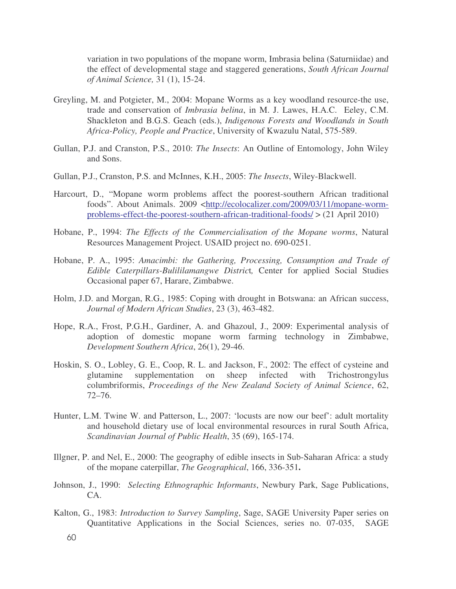variation in two populations of the mopane worm, Imbrasia belina (Saturniidae) and the effect of developmental stage and staggered generations, *South African Journal of Animal Science,* 31 (1), 15-24.

- Greyling, M. and Potgieter, M., 2004: Mopane Worms as a key woodland resource-the use, trade and conservation of *Imbrasia belina*, in M. J. Lawes, H.A.C. Eeley, C.M. Shackleton and B.G.S. Geach (eds.), *Indigenous Forests and Woodlands in South Africa-Policy, People and Practice*, University of Kwazulu Natal, 575-589.
- Gullan, P.J. and Cranston, P.S., 2010: *The Insects*: An Outline of Entomology, John Wiley and Sons.
- Gullan, P.J., Cranston, P.S. and McInnes, K.H., 2005: *The Insects*, Wiley-Blackwell.
- Harcourt, D., "Mopane worm problems affect the poorest-southern African traditional foods". About Animals. 2009 <http://ecolocalizer.com/2009/03/11/mopane-wormproblems-effect-the-poorest-southern-african-traditional-foods/ > (21 April 2010)
- Hobane, P., 1994: *The Effects of the Commercialisation of the Mopane worms*, Natural Resources Management Project. USAID project no. 690-0251.
- Hobane, P. A., 1995: *Amacimbi: the Gathering, Processing, Consumption and Trade of Edible Caterpillars-Bulililamangwe Distric*t*,* Center for applied Social Studies Occasional paper 67, Harare, Zimbabwe.
- Holm, J.D. and Morgan, R.G., 1985: Coping with drought in Botswana: an African success, *Journal of Modern African Studies*, 23 (3), 463-482.
- Hope, R.A., Frost, P.G.H., Gardiner, A. and Ghazoul, J., 2009: Experimental analysis of adoption of domestic mopane worm farming technology in Zimbabwe, *Development Southern Africa*, 26(1), 29-46.
- Hoskin, S. O., Lobley, G. E., Coop, R. L. and Jackson, F., 2002: The effect of cysteine and glutamine supplementation on sheep infected with Trichostrongylus columbriformis, *Proceedings of the New Zealand Society of Animal Science*, 62, 72–76.
- Hunter, L.M. Twine W. and Patterson, L., 2007: 'locusts are now our beef': adult mortality and household dietary use of local environmental resources in rural South Africa, *Scandinavian Journal of Public Health*, 35 (69), 165-174.
- Illgner, P. and Nel, E., 2000: The geography of edible insects in Sub-Saharan Africa: a study of the mopane caterpillar, *The Geographical*, 166, 336-351**.**
- Johnson, J., 1990: *Selecting Ethnographic Informants*, Newbury Park, Sage Publications, CA.
- Kalton, G., 1983: *Introduction to Survey Sampling*, Sage, SAGE University Paper series on Quantitative Applications in the Social Sciences, series no. 07-035, SAGE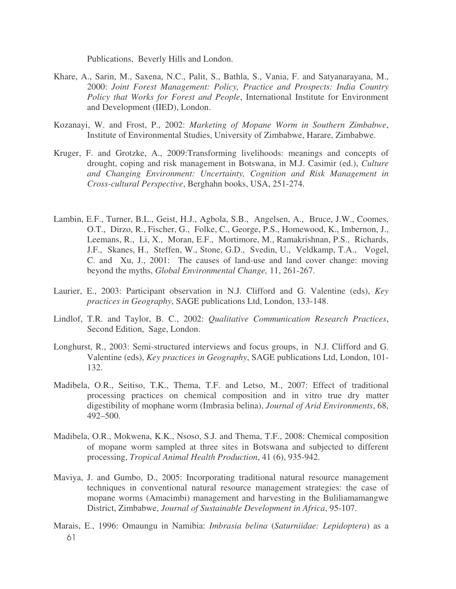Publications, Beverly Hills and London.

- Khare, A., Sarin, M., Saxena, N.C., Palit, S., Bathla, S., Vania, F. and Satyanarayana, M., 2000: *Joint Forest Management: Policy, Practice and Prospects: India Country Policy that Works for Forest and People*, International Institute for Environment and Development (IIED), London.
- Kozanayi, W. and Frost, P., 2002: *Marketing of Mopane Worm in Southern Zimbabwe*, Institute of Environmental Studies, University of Zimbabwe, Harare, Zimbabwe.
- Kruger, F. and Grotzke, A., 2009:Transforming livelihoods: meanings and concepts of drought, coping and risk management in Botswana, in M.J. Casimir (ed.), *Culture and Changing Environment: Uncertainty, Cognition and Risk Management in Cross-cultural Perspective*, Berghahn books, USA, 251-274.
- Lambin, E.F., Turner, B.L., Geist, H.J., Agbola, S.B., Angelsen, A., Bruce, J.W., Coomes, O.T., Dirzo, R., Fischer, G., Folke, C., George, P.S., Homewood, K., Imbernon, J., Leemans, R., Li, X., Moran, E.F., Mortimore, M., Ramakrishnan, P.S., Richards, J.F., Skanes, H., Steffen, W., Stone, G.D., Svedin, U., Veldkamp, T.A., Vogel, C. and Xu, J., 2001: The causes of land-use and land cover change: moving beyond the myths, *Global Environmental Change,* 11, 261-267.
- Laurier, E., 2003: Participant observation in N.J. Clifford and G. Valentine (eds), *Key practices in Geography*, SAGE publications Ltd, London, 133-148.
- Lindlof, T.R. and Taylor, B. C., 2002: *Qualitative Communication Research Practices*, Second Edition, Sage, London.
- Longhurst, R., 2003: Semi-structured interviews and focus groups, in N.J. Clifford and G. Valentine (eds), *Key practices in Geography*, SAGE publications Ltd, London, 101- 132.
- Madibela, O.R., Seitiso, T.K., Thema, T.F. and Letso, M., 2007: Effect of traditional processing practices on chemical composition and in vitro true dry matter digestibility of mophane worm (Imbrasia belina), *Journal of Arid Environments*, 68, 492–500.
- Madibela, O.R., Mokwena, K.K., Nsoso, S.J. and Thema, T.F., 2008: Chemical composition of mopane worm sampled at three sites in Botswana and subjected to different processing, *Tropical Animal Health Production*, 41 (6), 935-942.
- Maviya, J. and Gumbo, D., 2005: Incorporating traditional natural resource management techniques in conventional natural resource management strategies: the case of mopane worms (Amacimbi) management and harvesting in the Buliliamamangwe District, Zimbabwe, *Journal of Sustainable Development in Africa*, 95-107.
- 61 Marais, E., 1996: Omaungu in Namibia: *Imbrasia belina* (*Saturniidae: Lepidoptera*) as a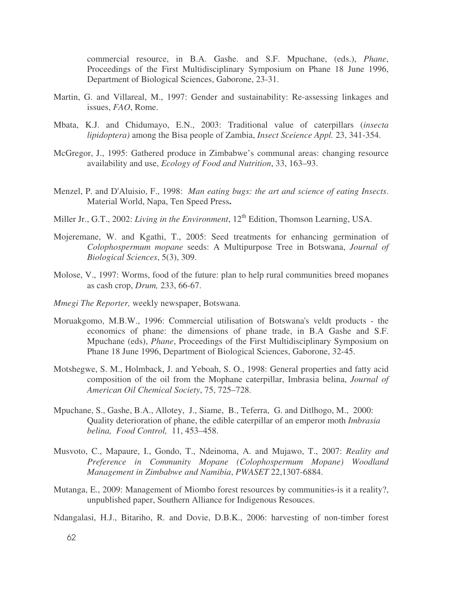commercial resource, in B.A. Gashe. and S.F. Mpuchane, (eds.), *Phane*, Proceedings of the First Multidisciplinary Symposium on Phane 18 June 1996, Department of Biological Sciences, Gaborone, 23-31.

- Martin, G. and Villareal, M., 1997: Gender and sustainability: Re-assessing linkages and issues, *FAO*, Rome.
- Mbata, K.J. and Chidumayo, E.N., 2003: Traditional value of caterpillars (*insecta lipidoptera)* among the Bisa people of Zambia, *Insect Sceience Appl.* 23, 341-354.
- McGregor, J., 1995: Gathered produce in Zimbabwe's communal areas: changing resource availability and use, *Ecology of Food and Nutrition*, 33, 163–93.
- Menzel, P. and D'Aluisio, F., 1998: *Man eating bugs: the art and science of eating Insects*. Material World, Napa, Ten Speed Press**.**
- Miller Jr., G.T., 2002: *Living in the Environment*, 12<sup>th</sup> Edition, Thomson Learning, USA.
- Mojeremane, W. and Kgathi, T., 2005: Seed treatments for enhancing germination of *Colophospermum mopane* seeds: A Multipurpose Tree in Botswana, *Journal of Biological Sciences*, 5(3), 309.
- Molose, V., 1997: Worms, food of the future: plan to help rural communities breed mopanes as cash crop, *Drum,* 233, 66-67.
- *Mmegi The Reporter,* weekly newspaper, Botswana.
- Moruakgomo, M.B.W., 1996: Commercial utilisation of Botswana's veldt products the economics of phane: the dimensions of phane trade, in B.A Gashe and S.F. Mpuchane (eds), *Phane*, Proceedings of the First Multidisciplinary Symposium on Phane 18 June 1996, Department of Biological Sciences, Gaborone, 32-45.
- Motshegwe, S. M., Holmback, J. and Yeboah, S. O., 1998: General properties and fatty acid composition of the oil from the Mophane caterpillar, Imbrasia belina, *Journal of American Oil Chemical Society*, 75, 725–728.
- Mpuchane, S., Gashe, B.A., Allotey, J., Siame, B., Teferra, G. and Ditlhogo, M., 2000: Quality deterioration of phane, the edible caterpillar of an emperor moth *Imbrasia belina, Food Control,* 11, 453–458.
- Musvoto, C., Mapaure, I., Gondo, T., Ndeinoma, A. and Mujawo, T., 2007: *Reality and Preference in Community Mopane (Colophospermum Mopane) Woodland Management in Zimbabwe and Namibia*, *PWASET* 22,1307-6884.
- Mutanga, E., 2009: Management of Miombo forest resources by communities-is it a reality?, unpublished paper, Southern Alliance for Indigenous Resouces.

Ndangalasi, H.J., Bitariho, R. and Dovie, D.B.K., 2006: harvesting of non-timber forest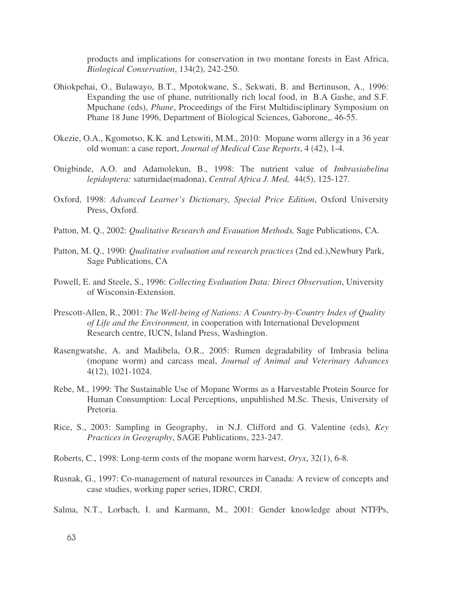products and implications for conservation in two montane forests in East Africa, *Biological Conservation*, 134(2), 242-250.

- Ohiokpehai, O., Bulawayo, B.T., Mpotokwane, S., Sekwati, B. and Bertinuson, A., 1996: Expanding the use of phane, nutritionally rich local food, in B.A Gashe, and S.F. Mpuchane (eds), *Phane*, Proceedings of the First Multidisciplinary Symposium on Phane 18 June 1996, Department of Biological Sciences, Gaborone,, 46-55.
- Okezie, O.A., Kgomotso, K.K. and Letswiti, M.M., 2010: Mopane worm allergy in a 36 year old woman: a case report, *Journal of Medical Case Reports*, 4 (42), 1-4.
- Onigbinde, A.O. and Adamolekun, B., 1998: The nutrient value of *Imbrasiabelina lepidoptera:* saturnidae(madona), *Central Africa J. Med,* 44(5), 125-127.
- Oxford, 1998: *Advanced Learner's Dictionary, Special Price Edition*, Oxford University Press, Oxford.
- Patton, M. Q., 2002: *Qualitative Research and Evauation Methods,* Sage Publications, CA.
- Patton, M. Q., 1990: *Qualitative evaluation and research practices* (2nd ed.),Newbury Park, Sage Publications, CA
- Powell, E. and Steele, S., 1996: *Collecting Evaluation Data: Direct Observation*, University of Wisconsin-Extension.
- Prescott-Allen, R., 2001: *The Well-being of Nations: A Country-by-Country Index of Quality of Life and the Environment,* in cooperation with International Development Research centre, IUCN, Island Press, Washington.
- Rasengwatshe, A. and Madibela, O.R., 2005: Rumen degradability of Imbrasia belina (mopane worm) and carcass meal, *Journal of Animal and Veterinary Advances* 4**(**12), 1021-1024.
- Rebe, M., 1999: The Sustainable Use of Mopane Worms as a Harvestable Protein Source for Human Consumption: Local Perceptions, unpublished M.Sc. Thesis, University of Pretoria.
- Rice, S., 2003: Sampling in Geography, in N.J. Clifford and G. Valentine (eds), *Key Practices in Geography*, SAGE Publications, 223-247.
- Roberts, C., 1998: Long-term costs of the mopane worm harvest, *Oryx*, 32(1), 6-8.
- Rusnak, G., 1997: Co-management of natural resources in Canada: A review of concepts and case studies, working paper series, IDRC, CRDI.
- Salma, N.T., Lorbach, I. and Karmann, M., 2001: Gender knowledge about NTFPs,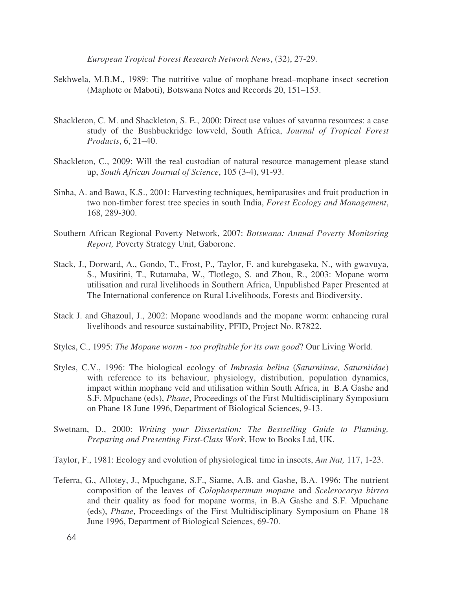*European Tropical Forest Research Network News*, (32), 27-29.

- Sekhwela, M.B.M., 1989: The nutritive value of mophane bread–mophane insect secretion (Maphote or Maboti), Botswana Notes and Records 20, 151–153.
- Shackleton, C. M. and Shackleton, S. E., 2000: Direct use values of savanna resources: a case study of the Bushbuckridge lowveld, South Africa, *Journal of Tropical Forest Products*, 6, 21–40.
- Shackleton, C., 2009: Will the real custodian of natural resource management please stand up, *South African Journal of Science*, 105 (3-4), 91-93.
- Sinha, A. and Bawa, K.S., 2001: Harvesting techniques, hemiparasites and fruit production in two non-timber forest tree species in south India, *Forest Ecology and Management*, 168, 289-300.
- Southern African Regional Poverty Network, 2007: *Botswana: Annual Poverty Monitoring Report,* Poverty Strategy Unit, Gaborone.
- Stack, J., Dorward, A., Gondo, T., Frost, P., Taylor, F. and kurebgaseka, N., with gwavuya, S., Musitini, T., Rutamaba, W., Tlotlego, S. and Zhou, R., 2003: Mopane worm utilisation and rural livelihoods in Southern Africa, Unpublished Paper Presented at The International conference on Rural Livelihoods, Forests and Biodiversity.
- Stack J. and Ghazoul, J., 2002: Mopane woodlands and the mopane worm: enhancing rural livelihoods and resource sustainability, PFID, Project No. R7822.
- Styles, C., 1995: *The Mopane worm - too profitable for its own good*? Our Living World.
- Styles, C.V., 1996: The biological ecology of *Imbrasia belina* (*Saturniinae, Saturniidae*) with reference to its behaviour, physiology, distribution, population dynamics, impact within mophane veld and utilisation within South Africa, in B.A Gashe and S.F. Mpuchane (eds), *Phane*, Proceedings of the First Multidisciplinary Symposium on Phane 18 June 1996, Department of Biological Sciences, 9-13.
- Swetnam, D., 2000: *Writing your Dissertation: The Bestselling Guide to Planning, Preparing and Presenting First-Class Work*, How to Books Ltd, UK.
- Taylor, F., 1981: Ecology and evolution of physiological time in insects, *Am Nat,* 117, 1-23.
- Teferra, G., Allotey, J., Mpuchgane, S.F., Siame, A.B. and Gashe, B.A. 1996: The nutrient composition of the leaves of *Colophospermum mopane* and *Scelerocarya birrea* and their quality as food for mopane worms, in B.A Gashe and S.F. Mpuchane (eds), *Phane*, Proceedings of the First Multidisciplinary Symposium on Phane 18 June 1996, Department of Biological Sciences, 69-70.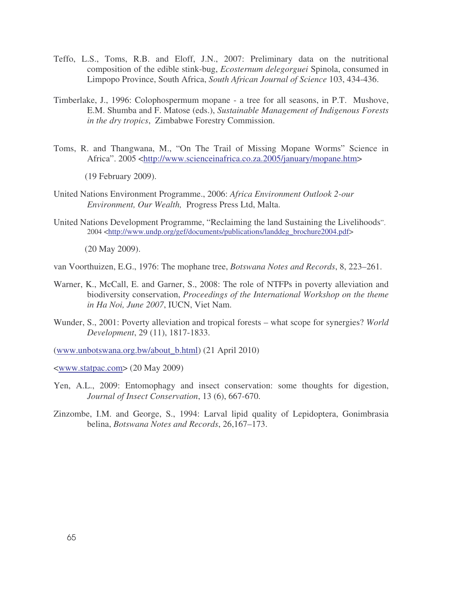- Teffo, L.S., Toms, R.B. and Eloff, J.N., 2007: Preliminary data on the nutritional composition of the edible stink-bug, *Ecosternum delegorguei* Spinola, consumed in Limpopo Province, South Africa, *South African Journal of Science* 103, 434-436.
- Timberlake, J., 1996: Colophospermum mopane a tree for all seasons, in P.T. Mushove, E.M. Shumba and F. Matose (eds.), *Sustainable Management of Indigenous Forests in the dry tropics*, Zimbabwe Forestry Commission.
- Toms, R. and Thangwana, M., "On The Trail of Missing Mopane Worms" Science in Africa". 2005 <http://www.scienceinafrica.co.za.2005/january/mopane.htm>

(19 February 2009).

- United Nations Environment Programme., 2006: *Africa Environment Outlook 2-our Environment, Our Wealth,* Progress Press Ltd, Malta.
- United Nations Development Programme, "Reclaiming the land Sustaining the Livelihoods". 2004 <http://www.undp.org/gef/documents/publications/landdeg\_brochure2004.pdf>

(20 May 2009).

van Voorthuizen, E.G., 1976: The mophane tree, *Botswana Notes and Records*, 8, 223–261.

- Warner, K., McCall, E. and Garner, S., 2008: The role of NTFPs in poverty alleviation and biodiversity conservation, *Proceedings of the International Workshop on the theme in Ha Noi, June 2007*, IUCN, Viet Nam.
- Wunder, S., 2001: Poverty alleviation and tropical forests what scope for synergies? *World Development*, 29 (11), 1817-1833.
- (www.unbotswana.org.bw/about\_b.html) (21 April 2010)

<www.statpac.com> (20 May 2009)

- Yen, A.L., 2009: Entomophagy and insect conservation: some thoughts for digestion, *Journal of Insect Conservation*, 13 (6), 667-670.
- Zinzombe, I.M. and George, S., 1994: Larval lipid quality of Lepidoptera, Gonimbrasia belina, *Botswana Notes and Records*, 26,167–173.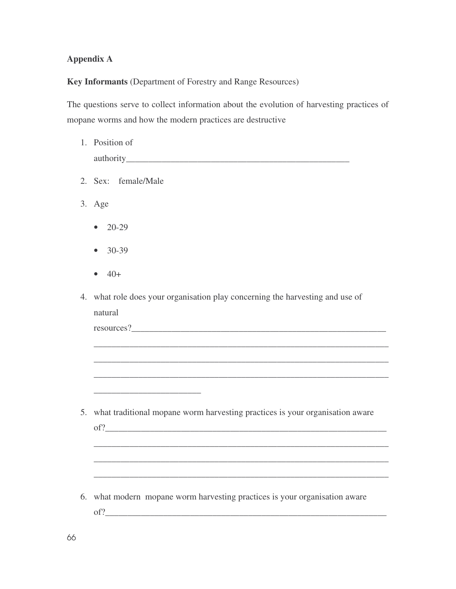## **Appendix A**

**Key Informants** (Department of Forestry and Range Resources)

The questions serve to collect information about the evolution of harvesting practices of mopane worms and how the modern practices are destructive

| 1. Position of                                                                                                       |  |  |  |
|----------------------------------------------------------------------------------------------------------------------|--|--|--|
|                                                                                                                      |  |  |  |
| 2. Sex: female/Male                                                                                                  |  |  |  |
| 3. Age                                                                                                               |  |  |  |
| $20 - 29$                                                                                                            |  |  |  |
| 30-39                                                                                                                |  |  |  |
| $40+$                                                                                                                |  |  |  |
| 4. what role does your organisation play concerning the harvesting and use of                                        |  |  |  |
| natural                                                                                                              |  |  |  |
|                                                                                                                      |  |  |  |
|                                                                                                                      |  |  |  |
|                                                                                                                      |  |  |  |
|                                                                                                                      |  |  |  |
| <u> 1989 - Johann John Stone, markin film ar yn y brenin y brenin y brenin y brenin y brenin y brenin y brenin y</u> |  |  |  |
| 5. what traditional mopane worm harvesting practices is your organisation aware                                      |  |  |  |
| of?                                                                                                                  |  |  |  |
|                                                                                                                      |  |  |  |
|                                                                                                                      |  |  |  |
|                                                                                                                      |  |  |  |
| 6. what modern mopane worm harvesting practices is your organisation aware                                           |  |  |  |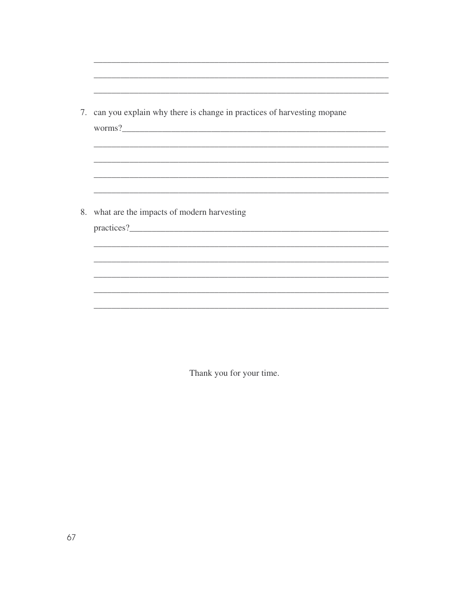| 7. can you explain why there is change in practices of harvesting mopane<br>worms?<br>,我们也不能在这里的人,我们也不能在这里的人,我们也不能在这里的人,我们也不能在这里的人,我们也不能在这里的人,我们也不能在这里的人,我们也不能在这里的人,我们也<br><u> 1989 - John Stone, Amerikaansk politiker (* 1908)</u> |
|--------------------------------------------------------------------------------------------------------------------------------------------------------------------------------------------------------------------------------------|
| 8. what are the impacts of modern harvesting                                                                                                                                                                                         |
|                                                                                                                                                                                                                                      |

Thank you for your time.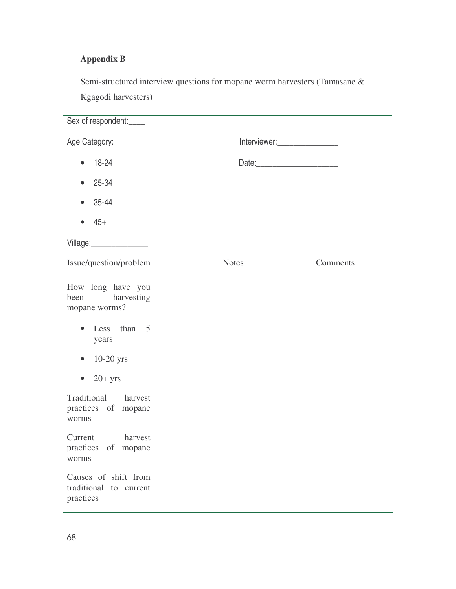## **Appendix B**

Semi-structured interview questions for mopane worm harvesters (Tamasane & Kgagodi harvesters)

| Sex of respondent:____                                      |                                 |          |  |  |  |
|-------------------------------------------------------------|---------------------------------|----------|--|--|--|
| Age Category:                                               | Interviewer:___________________ |          |  |  |  |
| 18-24<br>$\bullet$                                          |                                 |          |  |  |  |
| 25-34                                                       |                                 |          |  |  |  |
| 35-44<br>$\bullet$                                          |                                 |          |  |  |  |
| $45+$<br>$\bullet$                                          |                                 |          |  |  |  |
| Village: _________________                                  |                                 |          |  |  |  |
| Issue/question/problem                                      | <b>Notes</b>                    | Comments |  |  |  |
| How long have you<br>harvesting<br>been<br>mopane worms?    |                                 |          |  |  |  |
| Less than 5<br>$\bullet$<br>years                           |                                 |          |  |  |  |
| $10-20$ yrs<br>$\bullet$                                    |                                 |          |  |  |  |
| $20+$ yrs<br>$\bullet$                                      |                                 |          |  |  |  |
| Traditional<br>harvest<br>practices of mopane<br>worms      |                                 |          |  |  |  |
| harvest<br>Current<br>practices of mopane<br>worms          |                                 |          |  |  |  |
| Causes of shift from<br>traditional to current<br>practices |                                 |          |  |  |  |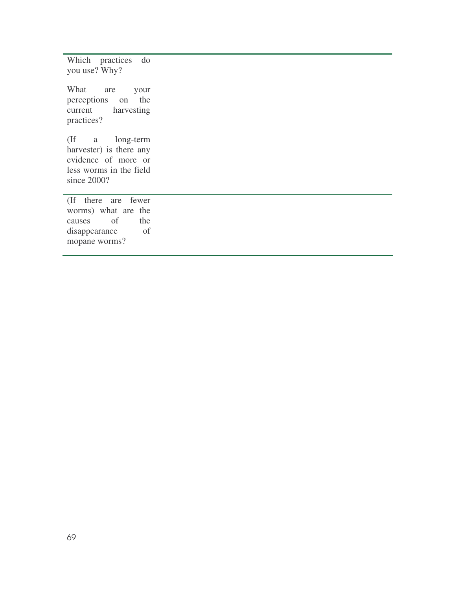Which practices do you use? Why?

What are your perceptions on the<br>current harvesting harvesting practices?

(If a long-term harvester) is there any evidence of more or less worms in the field since 2000?

(If there are fewer worms) what are the causes of the disappearance of mopane worms?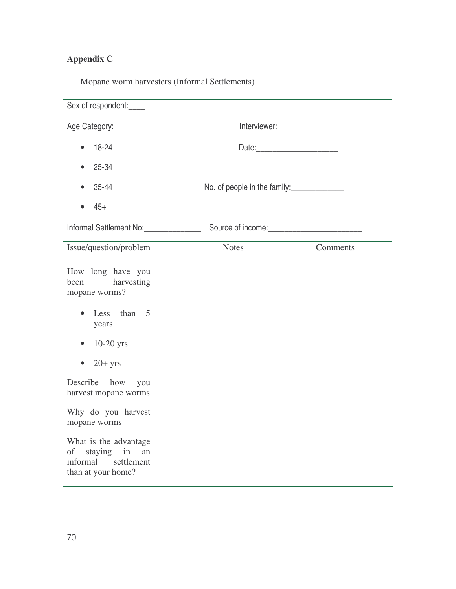## **Appendix C**

| Mopane worm harvesters (Informal Settlements) |  |  |  |
|-----------------------------------------------|--|--|--|
|-----------------------------------------------|--|--|--|

| Sex of respondent:                                                                        |                                |          |  |  |  |
|-------------------------------------------------------------------------------------------|--------------------------------|----------|--|--|--|
| Age Category:                                                                             | Interviewer:__________________ |          |  |  |  |
| 18-24<br>$\bullet$                                                                        | Date:                          |          |  |  |  |
| 25-34                                                                                     |                                |          |  |  |  |
| 35-44                                                                                     | No. of people in the family:   |          |  |  |  |
| $45+$<br>$\bullet$                                                                        |                                |          |  |  |  |
|                                                                                           |                                |          |  |  |  |
| Issue/question/problem                                                                    | Notes                          | Comments |  |  |  |
| How long have you<br>harvesting<br>been<br>mopane worms?                                  |                                |          |  |  |  |
| Less than 5<br>$\bullet$<br>years                                                         |                                |          |  |  |  |
| $10-20$ yrs<br>$\bullet$                                                                  |                                |          |  |  |  |
| $20+$ yrs<br>$\bullet$                                                                    |                                |          |  |  |  |
| Describe how you<br>harvest mopane worms                                                  |                                |          |  |  |  |
| Why do you harvest<br>mopane worms                                                        |                                |          |  |  |  |
| What is the advantage<br>of staying in<br>an<br>informal settlement<br>than at your home? |                                |          |  |  |  |